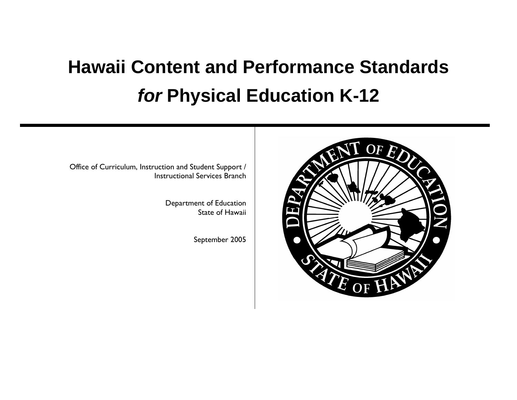# **Hawaii Content and Performance Standards**  *for* **Physical Education K-12**

Office of Curriculum, Instruction and Student Support / Instructional Services Branch

> Department of Education State of Hawaii

> > September 2005

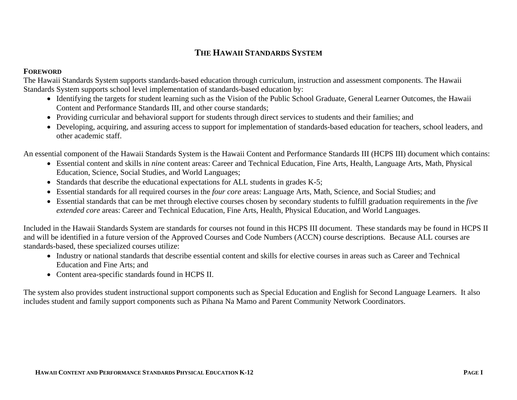# **THE HAWAII STANDARDS SYSTEM**

### **FOREWORD**

The Hawaii Standards System supports standards-based education through curriculum, instruction and assessment components. The Hawaii Standards System supports school level implementation of standards-based education by:

- Identifying the targets for student learning such as the Vision of the Public School Graduate, General Learner Outcomes, the Hawaii Content and Performance Standards III, and other course standards;
- Providing curricular and behavioral support for students through direct services to students and their families; and
- Developing, acquiring, and assuring access to support for implementation of standards-based education for teachers, school leaders, and other academic staff.

An essential component of the Hawaii Standards System is the Hawaii Content and Performance Standards III (HCPS III) document which contains:

- Essential content and skills in *nine* content areas: Career and Technical Education, Fine Arts, Health, Language Arts, Math, Physical Education, Science, Social Studies, and World Languages;
- Standards that describe the educational expectations for ALL students in grades K-5;
- Essential standards for all required courses in the *four core* areas: Language Arts, Math, Science, and Social Studies; and
- Essential standards that can be met through elective courses chosen by secondary students to fulfill graduation requirements in the *five extended core* areas: Career and Technical Education, Fine Arts, Health, Physical Education, and World Languages.

Included in the Hawaii Standards System are standards for courses not found in this HCPS III document. These standards may be found in HCPS II and will be identified in a future version of the Approved Courses and Code Numbers (ACCN) course descriptions. Because ALL courses are standards-based, these specialized courses utilize:

- Industry or national standards that describe essential content and skills for elective courses in areas such as Career and Technical Education and Fine Arts; and
- Content area-specific standards found in HCPS II.

The system also provides student instructional support components such as Special Education and English for Second Language Learners. It also includes student and family support components such as Pihana Na Mamo and Parent Community Network Coordinators.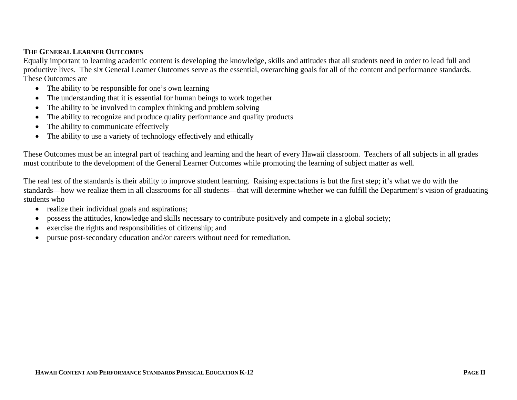### **THE GENERAL LEARNER OUTCOMES**

Equally important to learning academic content is developing the knowledge, skills and attitudes that all students need in order to lead full and productive lives. The six General Learner Outcomes serve as the essential, overarching goals for all of the content and performance standards. These Outcomes are

- The ability to be responsible for one's own learning
- The understanding that it is essential for human beings to work together
- The ability to be involved in complex thinking and problem solving
- The ability to recognize and produce quality performance and quality products
- $\bullet$ The ability to communicate effectively
- The ability to use a variety of technology effectively and ethically

These Outcomes must be an integral part of teaching and learning and the heart of every Hawaii classroom. Teachers of all subjects in all grades must contribute to the development of the General Learner Outcomes while promoting the learning of subject matter as well.

The real test of the standards is their ability to improve student learning. Raising expectations is but the first step; it's what we do with the standards—how we realize them in all classrooms for all students—that will determine whether we can fulfill the Department's vision of graduating students who

- realize their individual goals and aspirations;
- possess the attitudes, knowledge and skills necessary to contribute positively and compete in a global society;
- •exercise the rights and responsibilities of citizenship; and
- $\bullet$ pursue post-secondary education and/or careers without need for remediation.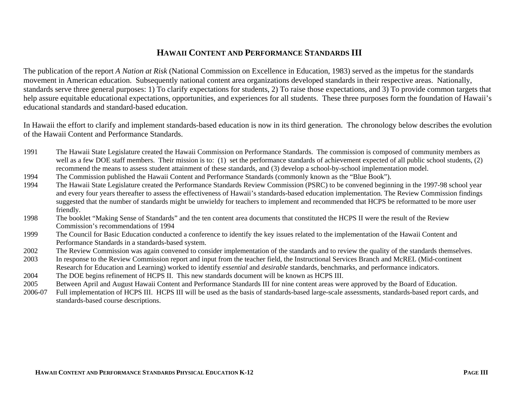# **HAWAII CONTENT AND PERFORMANCE STANDARDS III**

The publication of the report *A Nation at Risk* (National Commission on Excellence in Education, 1983) served as the impetus for the standards movement in American education. Subsequently national content area organizations developed standards in their respective areas. Nationally, standards serve three general purposes: 1) To clarify expectations for students, 2) To raise those expectations, and 3) To provide common targets that help assure equitable educational expectations, opportunities, and experiences for all students. These three purposes form the foundation of Hawaii's educational standards and standard-based education.

In Hawaii the effort to clarify and implement standards-based education is now in its third generation. The chronology below describes the evolution of the Hawaii Content and Performance Standards.

- 1991 The Hawaii State Legislature created the Hawaii Commission on Performance Standards. The commission is composed of community members as well as a few DOE staff members. Their mission is to: (1) set the performance standards of achievement expected of all public school students, (2) recommend the means to assess student attainment of these standards, and (3) develop a school-by-school implementation model.
- 1994 The Commission published the Hawaii Content and Performance Standards (commonly known as the "Blue Book").
- 1994 The Hawaii State Legislature created the Performance Standards Review Commission (PSRC) to be convened beginning in the 1997-98 school year and every four years thereafter to assess the effectiveness of Hawaii's standards-based education implementation. The Review Commission findings suggested that the number of standards might be unwieldy for teachers to implement and recommended that HCPS be reformatted to be more user friendly.
- 1998 The booklet "Making Sense of Standards" and the ten content area documents that constituted the HCPS II were the result of the Review Commission's recommendations of 1994
- 1999 The Council for Basic Education conducted a conference to identify the key issues related to the implementation of the Hawaii Content and Performance Standards in a standards-based system.
- 2002 The Review Commission was again convened to consider implementation of the standards and to review the quality of the standards themselves.
- 2003 In response to the Review Commission report and input from the teacher field, the Instructional Services Branch and McREL (Mid-continent Research for Education and Learning) worked to identify *essential* and *desirable* standards, benchmarks, and performance indicators.
- 2004 The DOE begins refinement of HCPS II. This new standards document will be known as HCPS III.
- 2005 Between April and August Hawaii Content and Performance Standards III for nine content areas were approved by the Board of Education.
- 2006-07 Full implementation of HCPS III. HCPS III will be used as the basis of standards-based large-scale assessments, standards-based report cards, and standards-based course descriptions.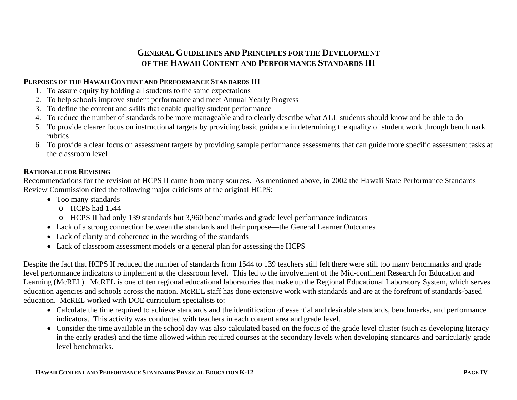# **GENERAL GUIDELINES AND PRINCIPLES FOR THE DEVELOPMENT OF THE HAWAII CONTENT AND PERFORMANCE STANDARDS III**

### **PURPOSES OF THE HAWAII CONTENT AND PERFORMANCE STANDARDS III**

- 1. To assure equity by holding all students to the same expectations
- 2. To help schools improve student performance and meet Annual Yearly Progress
- 3. To define the content and skills that enable quality student performance
- 4. To reduce the number of standards to be more manageable and to clearly describe what ALL students should know and be able to do
- 5. To provide clearer focus on instructional targets by providing basic guidance in determining the quality of student work through benchmark rubrics
- 6. To provide a clear focus on assessment targets by providing sample performance assessments that can guide more specific assessment tasks at the classroom level

### **RATIONALE FOR REVISING**

Recommendations for the revision of HCPS II came from many sources. As mentioned above, in 2002 the Hawaii State Performance Standards Review Commission cited the following major criticisms of the original HCPS:

- Too many standards
	- o HCPS had 1544
	- o HCPS II had only 139 standards but 3,960 benchmarks and grade level performance indicators
- Lack of a strong connection between the standards and their purpose—the General Learner Outcomes
- Lack of clarity and coherence in the wording of the standards
- Lack of classroom assessment models or a general plan for assessing the HCPS

Despite the fact that HCPS II reduced the number of standards from 1544 to 139 teachers still felt there were still too many benchmarks and grade level performance indicators to implement at the classroom level. This led to the involvement of the Mid-continent Research for Education and Learning (McREL). McREL is one of ten regional educational laboratories that make up the Regional Educational Laboratory System, which serves education agencies and schools across the nation. McREL staff has done extensive work with standards and are at the forefront of standards-based education. McREL worked with DOE curriculum specialists to:

- Calculate the time required to achieve standards and the identification of essential and desirable standards, benchmarks, and performance indicators. This activity was conducted with teachers in each content area and grade level.
- Consider the time available in the school day was also calculated based on the focus of the grade level cluster (such as developing literacy in the early grades) and the time allowed within required courses at the secondary levels when developing standards and particularly grade level benchmarks.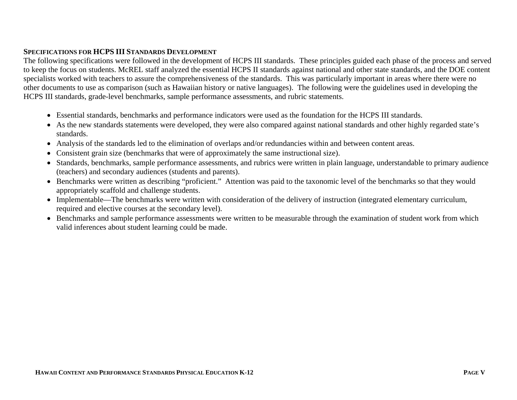### **SPECIFICATIONS FOR HCPS III STANDARDS DEVELOPMENT**

The following specifications were followed in the development of HCPS III standards. These principles guided each phase of the process and served to keep the focus on students. McREL staff analyzed the essential HCPS II standards against national and other state standards, and the DOE content specialists worked with teachers to assure the comprehensiveness of the standards. This was particularly important in areas where there were no other documents to use as comparison (such as Hawaiian history or native languages). The following were the guidelines used in developing the HCPS III standards, grade-level benchmarks, sample performance assessments, and rubric statements.

- Essential standards, benchmarks and performance indicators were used as the foundation for the HCPS III standards.
- As the new standards statements were developed, they were also compared against national standards and other highly regarded state's standards.
- Analysis of the standards led to the elimination of overlaps and/or redundancies within and between content areas.
- Consistent grain size (benchmarks that were of approximately the same instructional size).
- Standards, benchmarks, sample performance assessments, and rubrics were written in plain language, understandable to primary audience (teachers) and secondary audiences (students and parents).
- Benchmarks were written as describing "proficient." Attention was paid to the taxonomic level of the benchmarks so that they would appropriately scaffold and challenge students.
- Implementable—The benchmarks were written with consideration of the delivery of instruction (integrated elementary curriculum, required and elective courses at the secondary level).
- Benchmarks and sample performance assessments were written to be measurable through the examination of student work from which valid inferences about student learning could be made.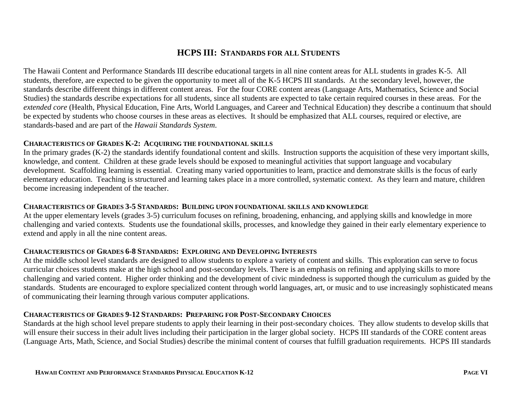# **HCPS III: STANDARDS FOR ALL STUDENTS**

The Hawaii Content and Performance Standards III describe educational targets in all nine content areas for ALL students in grades K-5. All students, therefore, are expected to be given the opportunity to meet all of the K-5 HCPS III standards. At the secondary level, however, the standards describe different things in different content areas. For the four CORE content areas (Language Arts, Mathematics, Science and Social Studies) the standards describe expectations for all students, since all students are expected to take certain required courses in these areas. For the *extended core* (Health, Physical Education, Fine Arts, World Languages, and Career and Technical Education) they describe a continuum that should be expected by students who choose courses in these areas as electives. It should be emphasized that ALL courses, required or elective, are standards-based and are part of the *Hawaii Standards System*.

### **CHARACTERISTICS OF GRADES K-2: ACQUIRING THE FOUNDATIONAL SKILLS**

In the primary grades (K-2) the standards identify foundational content and skills. Instruction supports the acquisition of these very important skills, knowledge, and content. Children at these grade levels should be exposed to meaningful activities that support language and vocabulary development. Scaffolding learning is essential. Creating many varied opportunities to learn, practice and demonstrate skills is the focus of early elementary education. Teaching is structured and learning takes place in a more controlled, systematic context. As they learn and mature, children become increasing independent of the teacher.

### **CHARACTERISTICS OF GRADES 3-5 STANDARDS: BUILDING UPON FOUNDATIONAL SKILLS AND KNOWLEDGE**

At the upper elementary levels (grades 3-5) curriculum focuses on refining, broadening, enhancing, and applying skills and knowledge in more challenging and varied contexts. Students use the foundational skills, processes, and knowledge they gained in their early elementary experience to extend and apply in all the nine content areas.

### **CHARACTERISTICS OF GRADES 6-8 STANDARDS: EXPLORING AND DEVELOPING INTERESTS**

At the middle school level standards are designed to allow students to explore a variety of content and skills. This exploration can serve to focus curricular choices students make at the high school and post-secondary levels. There is an emphasis on refining and applying skills to more challenging and varied content. Higher order thinking and the development of civic mindedness is supported though the curriculum as guided by the standards. Students are encouraged to explore specialized content through world languages, art, or music and to use increasingly sophisticated means of communicating their learning through various computer applications.

### **CHARACTERISTICS OF GRADES 9-12 STANDARDS: PREPARING FOR POST-SECONDARY CHOICES**

Standards at the high school level prepare students to apply their learning in their post-secondary choices. They allow students to develop skills that will ensure their success in their adult lives including their participation in the larger global society. HCPS III standards of the CORE content areas (Language Arts, Math, Science, and Social Studies) describe the minimal content of courses that fulfill graduation requirements. HCPS III standards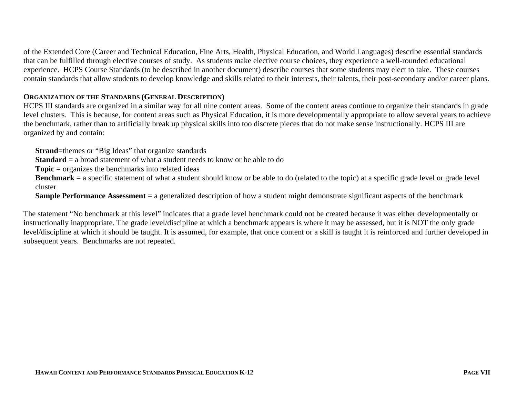of the Extended Core (Career and Technical Education, Fine Arts, Health, Physical Education, and World Languages) describe essential standards that can be fulfilled through elective courses of study. As students make elective course choices, they experience a well-rounded educational experience. HCPS Course Standards (to be described in another document) describe courses that some students may elect to take. These courses contain standards that allow students to develop knowledge and skills related to their interests, their talents, their post-secondary and/or career plans.

### **ORGANIZATION OF THE STANDARDS (GENERAL DESCRIPTION)**

HCPS III standards are organized in a similar way for all nine content areas. Some of the content areas continue to organize their standards in grade level clusters. This is because, for content areas such as Physical Education, it is more developmentally appropriate to allow several years to achieve the benchmark, rather than to artificially break up physical skills into too discrete pieces that do not make sense instructionally. HCPS III are organized by and contain:

**Strand**=themes or "Big Ideas" that organize standards

**Standard** = a broad statement of what a student needs to know or be able to do

**Topic** = organizes the benchmarks into related ideas

**Benchmark** = a specific statement of what a student should know or be able to do (related to the topic) at a specific grade level or grade level cluster

**Sample Performance Assessment** = a generalized description of how a student might demonstrate significant aspects of the benchmark

The statement "No benchmark at this level" indicates that a grade level benchmark could not be created because it was either developmentally or instructionally inappropriate. The grade level/discipline at which a benchmark appears is where it may be assessed, but it is NOT the only grade level/discipline at which it should be taught. It is assumed, for example, that once content or a skill is taught it is reinforced and further developed in subsequent years. Benchmarks are not repeated.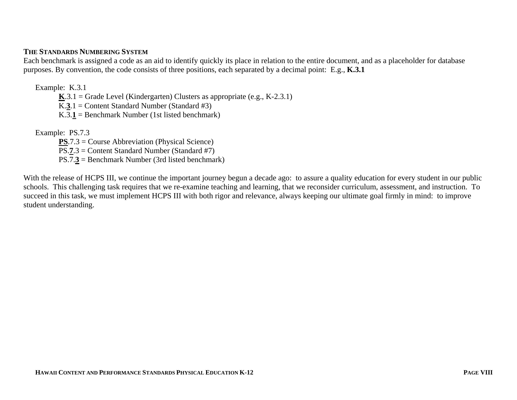### **THE STANDARDS NUMBERING SYSTEM**

Each benchmark is assigned a code as an aid to identify quickly its place in relation to the entire document, and as a placeholder for database purposes. By convention, the code consists of three positions, each separated by a decimal point: E.g., **K.3.1**

Example: K.3.1

 $K.3.1 =$  Grade Level (Kindergarten) Clusters as appropriate (e.g., K-2.3.1)

K.**3**.1 = Content Standard Number (Standard #3)

K.3. $\mathbf{1}$  = Benchmark Number (1st listed benchmark)

Example: PS.7.3

**PS**.7.3 = Course Abbreviation (Physical Science) PS.**7**.3 = Content Standard Number (Standard #7) PS.7.**3** = Benchmark Number (3rd listed benchmark)

With the release of HCPS III, we continue the important journey begun a decade ago: to assure a quality education for every student in our public schools. This challenging task requires that we re-examine teaching and learning, that we reconsider curriculum, assessment, and instruction. To succeed in this task, we must implement HCPS III with both rigor and relevance, always keeping our ultimate goal firmly in mind: to improve student understanding.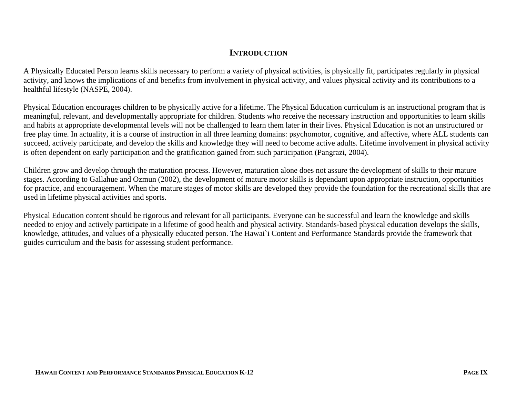# **INTRODUCTION**

A Physically Educated Person learns skills necessary to perform a variety of physical activities, is physically fit, participates regularly in physical activity, and knows the implications of and benefits from involvement in physical activity, and values physical activity and its contributions to a healthful lifestyle (NASPE, 2004).

Physical Education encourages children to be physically active for a lifetime. The Physical Education curriculum is an instructional program that is meaningful, relevant, and developmentally appropriate for children. Students who receive the necessary instruction and opportunities to learn skills and habits at appropriate developmental levels will not be challenged to learn them later in their lives. Physical Education is not an unstructured or free play time. In actuality, it is a course of instruction in all three learning domains: psychomotor, cognitive, and affective, where ALL students can succeed, actively participate, and develop the skills and knowledge they will need to become active adults. Lifetime involvement in physical activity is often dependent on early participation and the gratification gained from such participation (Pangrazi, 2004).

Children grow and develop through the maturation process. However, maturation alone does not assure the development of skills to their mature stages. According to Gallahue and Ozmun (2002), the development of mature motor skills is dependant upon appropriate instruction, opportunities for practice, and encouragement. When the mature stages of motor skills are developed they provide the foundation for the recreational skills that are used in lifetime physical activities and sports.

Physical Education content should be rigorous and relevant for all participants. Everyone can be successful and learn the knowledge and skills needed to enjoy and actively participate in a lifetime of good health and physical activity. Standards-based physical education develops the skills, knowledge, attitudes, and values of a physically educated person. The Hawai`i Content and Performance Standards provide the framework that guides curriculum and the basis for assessing student performance.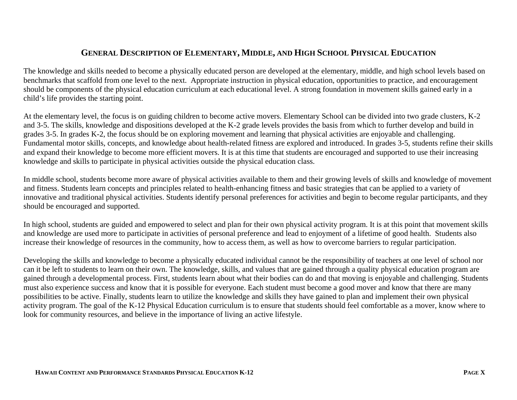# **GENERAL DESCRIPTION OF ELEMENTARY, MIDDLE, AND HIGH SCHOOL PHYSICAL EDUCATION**

The knowledge and skills needed to become a physically educated person are developed at the elementary, middle, and high school levels based on benchmarks that scaffold from one level to the next. Appropriate instruction in physical education, opportunities to practice, and encouragement should be components of the physical education curriculum at each educational level. A strong foundation in movement skills gained early in a child's life provides the starting point.

At the elementary level, the focus is on guiding children to become active movers. Elementary School can be divided into two grade clusters, K-2 and 3-5. The skills, knowledge and dispositions developed at the K-2 grade levels provides the basis from which to further develop and build in grades 3-5. In grades K-2, the focus should be on exploring movement and learning that physical activities are enjoyable and challenging. Fundamental motor skills, concepts, and knowledge about health-related fitness are explored and introduced. In grades 3-5, students refine their skills and expand their knowledge to become more efficient movers. It is at this time that students are encouraged and supported to use their increasing knowledge and skills to participate in physical activities outside the physical education class.

In middle school, students become more aware of physical activities available to them and their growing levels of skills and knowledge of movement and fitness. Students learn concepts and principles related to health-enhancing fitness and basic strategies that can be applied to a variety of innovative and traditional physical activities. Students identify personal preferences for activities and begin to become regular participants, and they should be encouraged and supported.

In high school, students are guided and empowered to select and plan for their own physical activity program. It is at this point that movement skills and knowledge are used more to participate in activities of personal preference and lead to enjoyment of a lifetime of good health. Students also increase their knowledge of resources in the community, how to access them, as well as how to overcome barriers to regular participation.

Developing the skills and knowledge to become a physically educated individual cannot be the responsibility of teachers at one level of school nor can it be left to students to learn on their own. The knowledge, skills, and values that are gained through a quality physical education program are gained through a developmental process. First, students learn about what their bodies can do and that moving is enjoyable and challenging. Students must also experience success and know that it is possible for everyone. Each student must become a good mover and know that there are many possibilities to be active. Finally, students learn to utilize the knowledge and skills they have gained to plan and implement their own physical activity program. The goal of the K-12 Physical Education curriculum is to ensure that students should feel comfortable as a mover, know where to look for community resources, and believe in the importance of living an active lifestyle.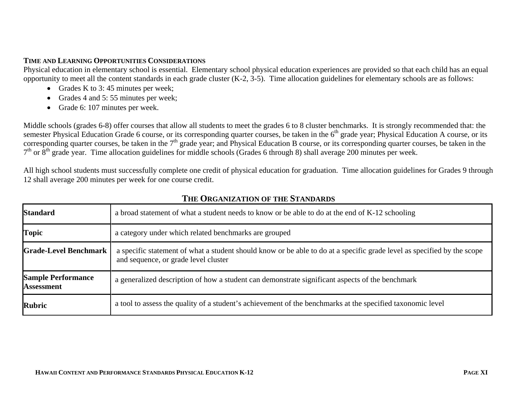### **TIME AND LEARNING OPPORTUNITIES CONSIDERATIONS**

Physical education in elementary school is essential. Elementary school physical education experiences are provided so that each child has an equal opportunity to meet all the content standards in each grade cluster (K-2, 3-5). Time allocation guidelines for elementary schools are as follows:

- Grades K to 3:45 minutes per week;
- Grades 4 and 5:55 minutes per week;
- Grade 6: 107 minutes per week.

Middle schools (grades 6-8) offer courses that allow all students to meet the grades 6 to 8 cluster benchmarks. It is strongly recommended that: the semester Physical Education Grade 6 course, or its corresponding quarter courses, be taken in the  $6<sup>th</sup>$  grade year; Physical Education A course, or its corresponding quarter courses, be taken in the 7<sup>th</sup> grade year; and Physical Education B course, or its corresponding quarter courses, be taken in the  $7<sup>th</sup>$  or  $8<sup>th</sup>$  grade year. Time allocation guidelines for middle schools (Grades 6 through 8) shall average 200 minutes per week.

All high school students must successfully complete one credit of physical education for graduation. Time allocation guidelines for Grades 9 through 12 shall average 200 minutes per week for one course credit.

| <b>Standard</b>                                | a broad statement of what a student needs to know or be able to do at the end of K-12 schooling                                                                 |
|------------------------------------------------|-----------------------------------------------------------------------------------------------------------------------------------------------------------------|
| <b>Topic</b>                                   | a category under which related benchmarks are grouped                                                                                                           |
| <b>Grade-Level Benchmark</b>                   | a specific statement of what a student should know or be able to do at a specific grade level as specified by the scope<br>and sequence, or grade level cluster |
| <b>Sample Performance</b><br><b>Assessment</b> | a generalized description of how a student can demonstrate significant aspects of the benchmark                                                                 |
| Rubric                                         | a tool to assess the quality of a student's achievement of the benchmarks at the specified taxonomic level                                                      |

# **THE ORGANIZATION OF THE STANDARDS**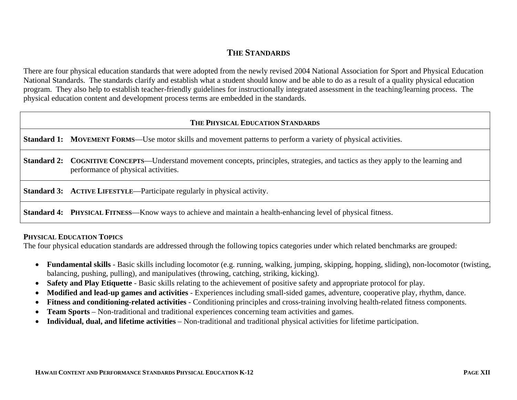# **THE STANDARDS**

There are four physical education standards that were adopted from the newly revised 2004 National Association for Sport and Physical Education National Standards. The standards clarify and establish what a student should know and be able to do as a result of a quality physical education program. They also help to establish teacher-friendly guidelines for instructionally integrated assessment in the teaching/learning process. The physical education content and development process terms are embedded in the standards.

# **THE PHYSICAL EDUCATION STANDARDS**

**Standard 1:** MOVEMENT FORMS—Use motor skills and movement patterns to perform a variety of physical activities.

**Standard 2:** COGNITIVE CONCEPTS—Understand movement concepts, principles, strategies, and tactics as they apply to the learning and performance of physical activities.

**Standard 3:** ACTIVE LIFESTYLE—Participate regularly in physical activity.

**Standard 4: PHYSICAL FITNESS—Know ways to achieve and maintain a health-enhancing level of physical fitness.** 

### **PHYSICAL EDUCATION TOPICS**

The four physical education standards are addressed through the following topics categories under which related benchmarks are grouped:

- **Fundamental skills** Basic skills including locomotor (e.g. running, walking, jumping, skipping, hopping, sliding), non-locomotor (twisting, balancing, pushing, pulling), and manipulatives (throwing, catching, striking, kicking).
- **Safety and Play Etiquette** Basic skills relating to the achievement of positive safety and appropriate protocol for play.
- **Modified and lead-up games and activities** Experiences including small-sided games, adventure, cooperative play, rhythm, dance.
- **Fitness and conditioning-related activities** Conditioning principles and cross-training involving health-related fitness components.
- •**Team Sports** – Non-traditional and traditional experiences concerning team activities and games.
- •**Individual, dual, and lifetime activities** – Non-traditional and traditional physical activities for lifetime participation.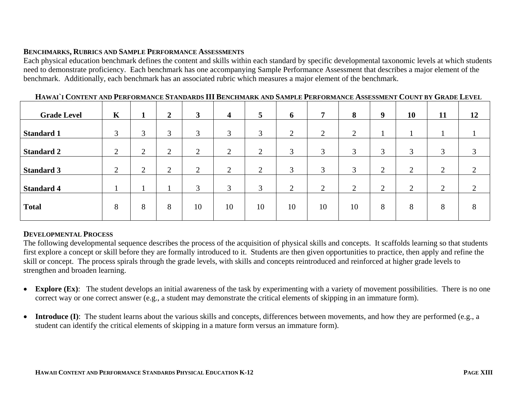### **BENCHMARKS, RUBRICS AND SAMPLE PERFORMANCE ASSESSMENTS**

Each physical education benchmark defines the content and skills within each standard by specific developmental taxonomic levels at which students need to demonstrate proficiency. Each benchmark has one accompanying Sample Performance Assessment that describes a major element of the benchmark. Additionally, each benchmark has an associated rubric which measures a major element of the benchmark.

| <b>Grade Level</b> | $\mathbf K$ |                | $\overline{2}$ | $\mathbf{3}$   | $\overline{\mathbf{4}}$               | 5              | 6             | 7              | 8                  | 9              | 10                         | 11 | 12        |
|--------------------|-------------|----------------|----------------|----------------|---------------------------------------|----------------|---------------|----------------|--------------------|----------------|----------------------------|----|-----------|
| <b>Standard 1</b>  | 3           | 3              | 3              | 3              | 3                                     | 3              | $\mathcal{L}$ | $\overline{2}$ | $\mathcal{D}$<br>∠ |                |                            |    |           |
| <b>Standard 2</b>  | 2           | $\overline{2}$ | $\bigcap$<br>∠ | $\overline{2}$ | $\bigcap$<br>$\overline{\phantom{0}}$ | $\overline{2}$ | 3             | 3              | 3                  | 3              | 3                          | 3  | 3         |
| <b>Standard 3</b>  | 2           | $\bigcap$<br>∠ | $\overline{2}$ | $\overline{2}$ | 2                                     | 2              | 3             | 3              | 3                  | $\overline{2}$ | $\overline{2}$             | ◠  | $\gamma$  |
| <b>Standard 4</b>  |             |                |                | 3              | 3                                     | 3              | ◠             | ↑<br>∠         | ◠                  | $\overline{2}$ | $\gamma$<br>$\overline{ }$ | ◠  | $\bigcap$ |
| <b>Total</b>       | 8           | 8              | 8              | 10             | 10                                    | 10             | 10            | 10             | 10                 | 8              | 8                          | 8  | 8         |

### **DEVELOPMENTAL PROCESS**

The following developmental sequence describes the process of the acquisition of physical skills and concepts. It scaffolds learning so that students first explore a concept or skill before they are formally introduced to it. Students are then given opportunities to practice, then apply and refine the skill or concept. The process spirals through the grade levels, with skills and concepts reintroduced and reinforced at higher grade levels to strengthen and broaden learning.

- $\bullet$ **Explore (Ex)**: The student develops an initial awareness of the task by experimenting with a variety of movement possibilities. There is no one correct way or one correct answer (e.g., a student may demonstrate the critical elements of skipping in an immature form).
- •**Introduce (I)**: The student learns about the various skills and concepts, differences between movements, and how they are performed (e.g., a student can identify the critical elements of skipping in a mature form versus an immature form).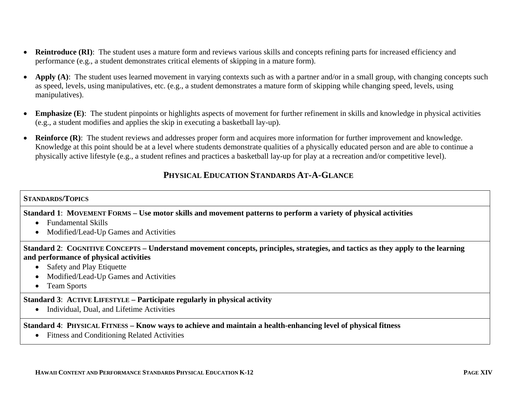- •**Reintroduce (RI)**: The student uses a mature form and reviews various skills and concepts refining parts for increased efficiency and performance (e.g., a student demonstrates critical elements of skipping in a mature form).
- •Apply (A): The student uses learned movement in varying contexts such as with a partner and/or in a small group, with changing concepts such as speed, levels, using manipulatives, etc. (e.g., a student demonstrates a mature form of skipping while changing speed, levels, using manipulatives).
- • **Emphasize (E)**: The student pinpoints or highlights aspects of movement for further refinement in skills and knowledge in physical activities (e.g., a student modifies and applies the skip in executing a basketball lay-up).
- **Reinforce (R)**: The student reviews and addresses proper form and acquires more information for further improvement and knowledge. Knowledge at this point should be at a level where students demonstrate qualities of a physically educated person and are able to continue a physically active lifestyle (e.g., a student refines and practices a basketball lay-up for play at a recreation and/or competitive level).

# **PHYSICAL EDUCATION STANDARDS AT-A-GLANCE**

### **STANDARDS/TOPICS**

### **Standard 1**: **MOVEMENT FORMS – Use motor skills and movement patterns to perform a variety of physical activities**

- Fundamental Skills
- Modified/Lead-Up Games and Activities

**Standard 2**: **COGNITIVE CONCEPTS – Understand movement concepts, principles, strategies, and tactics as they apply to the learning and performance of physical activities**

- Safety and Play Etiquette
- Modified/Lead-Up Games and Activities
- Team Sports

### **Standard 3**: **ACTIVE LIFESTYLE – Participate regularly in physical activity**

• Individual, Dual, and Lifetime Activities

#### **Standard 4**: **PHYSICAL FITNESS – Know ways to achieve and maintain a health-enhancing level of physical fitness**

• Fitness and Conditioning Related Activities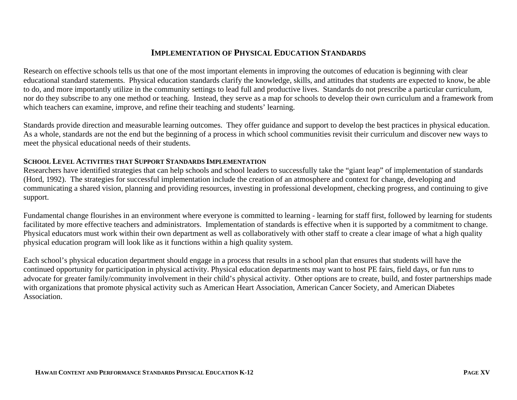# **IMPLEMENTATION OF PHYSICAL EDUCATION STANDARDS**

Research on effective schools tells us that one of the most important elements in improving the outcomes of education is beginning with clear educational standard statements. Physical education standards clarify the knowledge, skills, and attitudes that students are expected to know, be able to do, and more importantly utilize in the community settings to lead full and productive lives. Standards do not prescribe a particular curriculum, nor do they subscribe to any one method or teaching. Instead, they serve as a map for schools to develop their own curriculum and a framework from which teachers can examine, improve, and refine their teaching and students' learning.

Standards provide direction and measurable learning outcomes. They offer guidance and support to develop the best practices in physical education. As a whole, standards are not the end but the beginning of a process in which school communities revisit their curriculum and discover new ways to meet the physical educational needs of their students.

### **SCHOOL LEVEL ACTIVITIES THAT SUPPORT STANDARDS IMPLEMENTATION**

Researchers have identified strategies that can help schools and school leaders to successfully take the "giant leap" of implementation of standards (Hord, 1992). The strategies for successful implementation include the creation of an atmosphere and context for change, developing and communicating a shared vision, planning and providing resources, investing in professional development, checking progress, and continuing to give support.

Fundamental change flourishes in an environment where everyone is committed to learning - learning for staff first, followed by learning for students facilitated by more effective teachers and administrators. Implementation of standards is effective when it is supported by a commitment to change. Physical educators must work within their own department as well as collaboratively with other staff to create a clear image of what a high quality physical education program will look like as it functions within a high quality system.

Each school's physical education department should engage in a process that results in a school plan that ensures that students will have the continued opportunity for participation in physical activity. Physical education departments may want to host PE fairs, field days, or fun runs to advocate for greater family/community involvement in their child's physical activity. Other options are to create, build, and foster partnerships made with organizations that promote physical activity such as American Heart Association, American Cancer Society, and American Diabetes Association.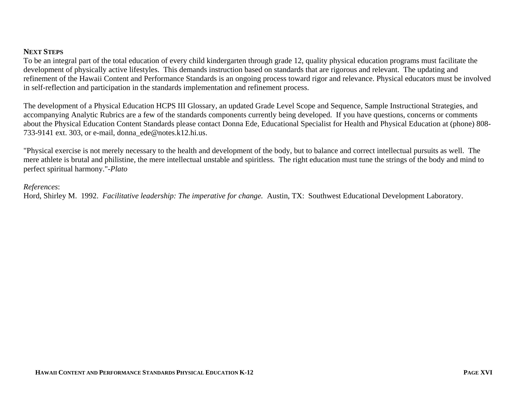### **NEXT STEPS**

To be an integral part of the total education of every child kindergarten through grade 12, quality physical education programs must facilitate the development of physically active lifestyles. This demands instruction based on standards that are rigorous and relevant. The updating and refinement of the Hawaii Content and Performance Standards is an ongoing process toward rigor and relevance. Physical educators must be involved in self-reflection and participation in the standards implementation and refinement process.

The development of a Physical Education HCPS III Glossary, an updated Grade Level Scope and Sequence, Sample Instructional Strategies, and accompanying Analytic Rubrics are a few of the standards components currently being developed. If you have questions, concerns or comments about the Physical Education Content Standards please contact Donna Ede, Educational Specialist for Health and Physical Education at (phone) 808- 733-9141 ext. 303, or e-mail, donna ede@notes.k12.hi.us.

"Physical exercise is not merely necessary to the health and development of the body, but to balance and correct intellectual pursuits as well. The mere athlete is brutal and philistine, the mere intellectual unstable and spiritless. The right education must tune the strings of the body and mind to perfect spiritual harmony."*-Plato*

#### *References*:

Hord, Shirley M. 1992. *Facilitative leadership: The imperative for change.* Austin, TX: Southwest Educational Development Laboratory.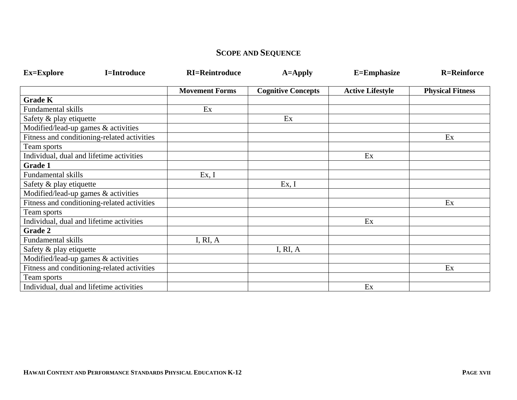# **SCOPE AND SEQUENCE**

| <b>Ex=Explore</b>                        | <b>I=Introduce</b>                          | <b>RI=Reintroduce</b> | $A = Apply$               | E=Emphasize             | <b>R=Reinforce</b>      |
|------------------------------------------|---------------------------------------------|-----------------------|---------------------------|-------------------------|-------------------------|
|                                          |                                             | <b>Movement Forms</b> | <b>Cognitive Concepts</b> | <b>Active Lifestyle</b> | <b>Physical Fitness</b> |
| <b>Grade K</b>                           |                                             |                       |                           |                         |                         |
| Fundamental skills                       |                                             | Ex                    |                           |                         |                         |
| Safety & play etiquette                  |                                             |                       | Ex                        |                         |                         |
| Modified/lead-up games & activities      |                                             |                       |                           |                         |                         |
|                                          | Fitness and conditioning-related activities |                       |                           |                         | Ex                      |
| Team sports                              |                                             |                       |                           |                         |                         |
| Individual, dual and lifetime activities |                                             |                       |                           | Ex                      |                         |
| Grade 1                                  |                                             |                       |                           |                         |                         |
| Fundamental skills                       |                                             | Ex, I                 |                           |                         |                         |
| Safety & play etiquette                  |                                             |                       | Ex, I                     |                         |                         |
| Modified/lead-up games & activities      |                                             |                       |                           |                         |                         |
|                                          | Fitness and conditioning-related activities |                       |                           |                         | Ex                      |
| Team sports                              |                                             |                       |                           |                         |                         |
| Individual, dual and lifetime activities |                                             |                       |                           | Ex                      |                         |
| Grade 2                                  |                                             |                       |                           |                         |                         |
| Fundamental skills                       |                                             | I, RI, A              |                           |                         |                         |
| Safety & play etiquette                  |                                             |                       | I, RI, A                  |                         |                         |
| Modified/lead-up games & activities      |                                             |                       |                           |                         |                         |
|                                          | Fitness and conditioning-related activities |                       |                           |                         | Ex                      |
| Team sports                              |                                             |                       |                           |                         |                         |
| Individual, dual and lifetime activities |                                             |                       |                           | Ex                      |                         |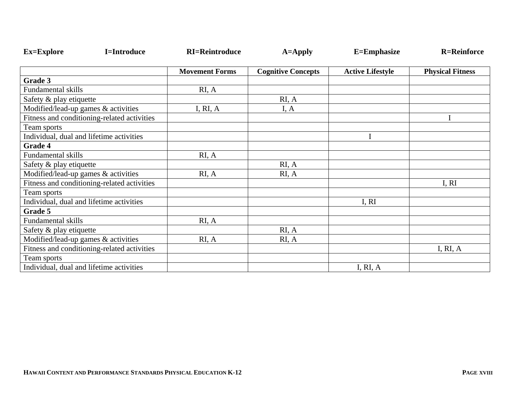| <b>Ex=Explore</b>                        | <b>I=Introduce</b>                          | <b>RI=Reintroduce</b> | $A = Apply$               | E=Emphasize             | <b>R=Reinforce</b>      |
|------------------------------------------|---------------------------------------------|-----------------------|---------------------------|-------------------------|-------------------------|
|                                          |                                             | <b>Movement Forms</b> | <b>Cognitive Concepts</b> | <b>Active Lifestyle</b> | <b>Physical Fitness</b> |
| Grade 3                                  |                                             |                       |                           |                         |                         |
| <b>Fundamental skills</b>                |                                             | RI, A                 |                           |                         |                         |
| Safety & play etiquette                  |                                             |                       | RI, A                     |                         |                         |
| Modified/lead-up games & activities      |                                             | I, RI, $A$            | I, A                      |                         |                         |
|                                          | Fitness and conditioning-related activities |                       |                           |                         |                         |
| Team sports                              |                                             |                       |                           |                         |                         |
| Individual, dual and lifetime activities |                                             |                       |                           |                         |                         |
| Grade 4                                  |                                             |                       |                           |                         |                         |
| <b>Fundamental skills</b>                |                                             | RI, A                 |                           |                         |                         |
| Safety & play etiquette                  |                                             |                       | RI, A                     |                         |                         |
| Modified/lead-up games & activities      |                                             | RI, A                 | RI, A                     |                         |                         |
|                                          | Fitness and conditioning-related activities |                       |                           |                         | I, RI                   |
| Team sports                              |                                             |                       |                           |                         |                         |
| Individual, dual and lifetime activities |                                             |                       |                           | I, RI                   |                         |
| Grade 5                                  |                                             |                       |                           |                         |                         |
| Fundamental skills                       |                                             | RI, A                 |                           |                         |                         |
| Safety & play etiquette                  |                                             |                       | RI, A                     |                         |                         |
| Modified/lead-up games & activities      |                                             | RI, A                 | RI, A                     |                         |                         |
|                                          | Fitness and conditioning-related activities |                       |                           |                         | I, RI, $A$              |
| Team sports                              |                                             |                       |                           |                         |                         |
| Individual, dual and lifetime activities |                                             |                       |                           | I, RI, A                |                         |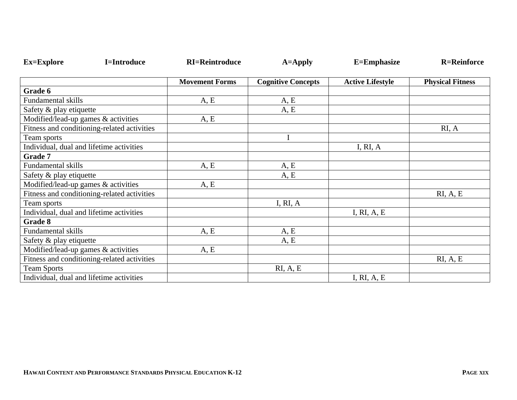| <b>Ex=Explore</b><br><b>I=Introduce</b>     | <b>RI=Reintroduce</b> | $A = Apply$               | E=Emphasize             | <b>R=Reinforce</b>      |
|---------------------------------------------|-----------------------|---------------------------|-------------------------|-------------------------|
|                                             | <b>Movement Forms</b> | <b>Cognitive Concepts</b> | <b>Active Lifestyle</b> | <b>Physical Fitness</b> |
| Grade 6                                     |                       |                           |                         |                         |
| <b>Fundamental skills</b>                   | A, E                  | A, E                      |                         |                         |
| Safety & play etiquette                     |                       | A, E                      |                         |                         |
| Modified/lead-up games & activities         | A, E                  |                           |                         |                         |
| Fitness and conditioning-related activities |                       |                           |                         | RI, A                   |
| Team sports                                 |                       | I                         |                         |                         |
| Individual, dual and lifetime activities    |                       |                           | I, RI, $A$              |                         |
| <b>Grade 7</b>                              |                       |                           |                         |                         |
| Fundamental skills                          | A, E                  | A, E                      |                         |                         |
| Safety & play etiquette                     |                       | A, E                      |                         |                         |
| Modified/lead-up games & activities         | A, E                  |                           |                         |                         |
| Fitness and conditioning-related activities |                       |                           |                         | RI, A, E                |
| Team sports                                 |                       | I, RI, A                  |                         |                         |
| Individual, dual and lifetime activities    |                       |                           | I, RI, A, E             |                         |
| Grade 8                                     |                       |                           |                         |                         |
| Fundamental skills                          | A, E                  | A, E                      |                         |                         |
| Safety & play etiquette                     |                       | A, E                      |                         |                         |
| Modified/lead-up games & activities         | A, E                  |                           |                         |                         |
| Fitness and conditioning-related activities |                       |                           |                         | RI, A, E                |
| <b>Team Sports</b>                          |                       | RI, A, E                  |                         |                         |
| Individual, dual and lifetime activities    |                       |                           | I, RI, A, E             |                         |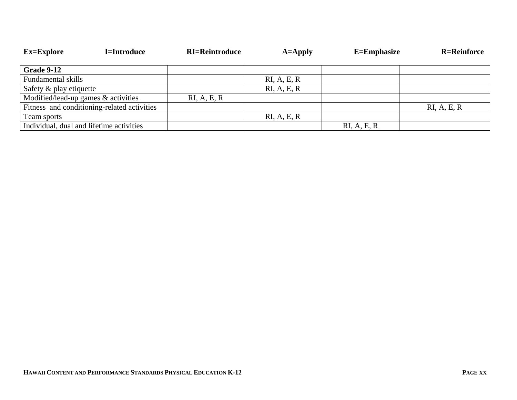| <b>Ex=Explore</b>                        | <b>I=Introduce</b>                          | <b>RI=Reintroduce</b> | $A = Apply$ | $E =$ Emphasize | <b>R=Reinforce</b> |
|------------------------------------------|---------------------------------------------|-----------------------|-------------|-----------------|--------------------|
|                                          |                                             |                       |             |                 |                    |
| Grade 9-12                               |                                             |                       |             |                 |                    |
| Fundamental skills                       |                                             |                       | RI, A, E, R |                 |                    |
| Safety & play etiquette                  |                                             |                       | RI, A, E, R |                 |                    |
| Modified/lead-up games & activities      |                                             | RI, A, E, R           |             |                 |                    |
|                                          | Fitness and conditioning-related activities |                       |             |                 | RI, A, E, R        |
| Team sports                              |                                             |                       | RI, A, E, R |                 |                    |
| Individual, dual and lifetime activities |                                             |                       |             | RI, A, E, R     |                    |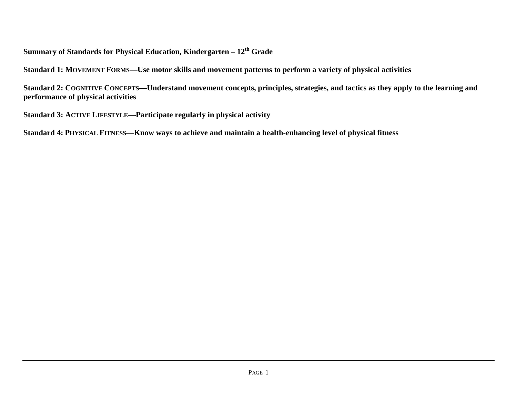# **Summary of Standards for Physical Education, Kindergarten – 12th Grade**

**Standard 1: MOVEMENT FORMS—Use motor skills and movement patterns to perform a variety of physical activities** 

**Standard 2: COGNITIVE CONCEPTS—Understand movement concepts, principles, strategies, and tactics as they apply to the learning and performance of physical activities** 

**Standard 3: ACTIVE LIFESTYLE—Participate regularly in physical activity** 

**Standard 4: PHYSICAL FITNESS—Know ways to achieve and maintain a health-enhancing level of physical fitness**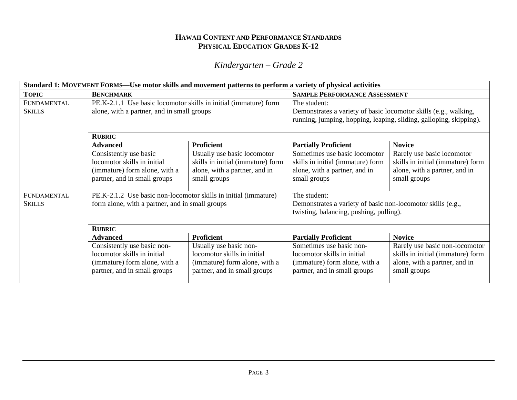*Kindergarten – Grade 2* 

|               | Standard 1: MOVEMENT FORMS-Use motor skills and movement patterns to perform a variety of physical activities |                                   |                                                                    |                                   |  |
|---------------|---------------------------------------------------------------------------------------------------------------|-----------------------------------|--------------------------------------------------------------------|-----------------------------------|--|
| <b>TOPIC</b>  | <b>BENCHMARK</b>                                                                                              |                                   | <b>SAMPLE PERFORMANCE ASSESSMENT</b>                               |                                   |  |
| FUNDAMENTAL   | PE.K-2.1.1 Use basic locomotor skills in initial (immature) form                                              |                                   | The student:                                                       |                                   |  |
| <b>SKILLS</b> | alone, with a partner, and in small groups                                                                    |                                   | Demonstrates a variety of basic locomotor skills (e.g., walking,   |                                   |  |
|               |                                                                                                               |                                   | running, jumping, hopping, leaping, sliding, galloping, skipping). |                                   |  |
|               | <b>RUBRIC</b>                                                                                                 |                                   |                                                                    |                                   |  |
|               | <b>Proficient</b><br><b>Advanced</b>                                                                          |                                   | <b>Partially Proficient</b>                                        | <b>Novice</b>                     |  |
|               | Consistently use basic                                                                                        | Usually use basic locomotor       | Sometimes use basic locomotor                                      | Rarely use basic locomotor        |  |
|               | locomotor skills in initial                                                                                   | skills in initial (immature) form | skills in initial (immature) form                                  | skills in initial (immature) form |  |
|               | (immature) form alone, with a                                                                                 | alone, with a partner, and in     | alone, with a partner, and in                                      | alone, with a partner, and in     |  |
|               | partner, and in small groups                                                                                  | small groups                      | small groups                                                       | small groups                      |  |
|               |                                                                                                               |                                   |                                                                    |                                   |  |
| FUNDAMENTAL   | PE.K-2.1.2 Use basic non-locomotor skills in initial (immature)                                               |                                   | The student:                                                       |                                   |  |
| <b>SKILLS</b> | form alone, with a partner, and in small groups                                                               |                                   | Demonstrates a variety of basic non-locomotor skills (e.g.,        |                                   |  |
|               |                                                                                                               |                                   | twisting, balancing, pushing, pulling).                            |                                   |  |
|               |                                                                                                               |                                   |                                                                    |                                   |  |
|               | <b>RUBRIC</b>                                                                                                 |                                   |                                                                    |                                   |  |
|               | <b>Advanced</b>                                                                                               | <b>Proficient</b>                 | <b>Partially Proficient</b>                                        | <b>Novice</b>                     |  |
|               | Consistently use basic non-                                                                                   | Usually use basic non-            | Sometimes use basic non-                                           | Rarely use basic non-locomotor    |  |
|               | locomotor skills in initial                                                                                   | locomotor skills in initial       | locomotor skills in initial                                        | skills in initial (immature) form |  |
|               | (immature) form alone, with a                                                                                 | (immature) form alone, with a     | (immature) form alone, with a                                      | alone, with a partner, and in     |  |
|               | partner, and in small groups                                                                                  | partner, and in small groups      | partner, and in small groups                                       | small groups                      |  |
|               |                                                                                                               |                                   |                                                                    |                                   |  |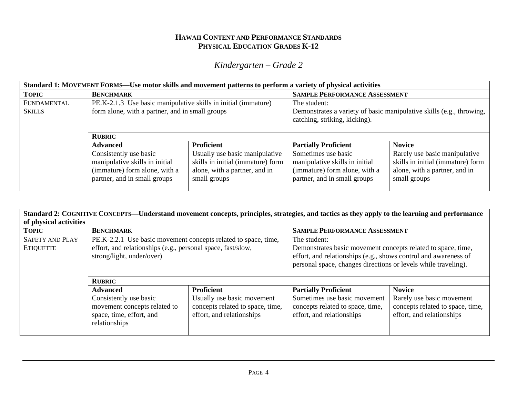*Kindergarten – Grade 2* 

| Standard 1: MOVEMENT FORMS—Use motor skills and movement patterns to perform a variety of physical activities |                                                                                                                                                          |                                                                                                                      |                                                                                                                        |                                                                                                                     |  |  |
|---------------------------------------------------------------------------------------------------------------|----------------------------------------------------------------------------------------------------------------------------------------------------------|----------------------------------------------------------------------------------------------------------------------|------------------------------------------------------------------------------------------------------------------------|---------------------------------------------------------------------------------------------------------------------|--|--|
| <b>TOPIC</b>                                                                                                  | <b>BENCHMARK</b>                                                                                                                                         |                                                                                                                      | <b>SAMPLE PERFORMANCE ASSESSMENT</b>                                                                                   |                                                                                                                     |  |  |
| FUNDAMENTAL                                                                                                   | PE.K-2.1.3 Use basic manipulative skills in initial (immature)                                                                                           |                                                                                                                      | The student:                                                                                                           |                                                                                                                     |  |  |
| <b>SKILLS</b>                                                                                                 | form alone, with a partner, and in small groups<br>Demonstrates a variety of basic manipulative skills (e.g., throwing,<br>catching, striking, kicking). |                                                                                                                      |                                                                                                                        |                                                                                                                     |  |  |
|                                                                                                               | <b>RUBRIC</b>                                                                                                                                            |                                                                                                                      |                                                                                                                        |                                                                                                                     |  |  |
|                                                                                                               | <b>Advanced</b>                                                                                                                                          | <b>Proficient</b>                                                                                                    | <b>Partially Proficient</b>                                                                                            | <b>Novice</b>                                                                                                       |  |  |
|                                                                                                               | Consistently use basic<br>manipulative skills in initial<br>(immature) form alone, with a<br>partner, and in small groups                                | Usually use basic manipulative<br>skills in initial (immature) form<br>alone, with a partner, and in<br>small groups | Sometimes use basic<br>manipulative skills in initial<br>(immature) form alone, with a<br>partner, and in small groups | Rarely use basic manipulative<br>skills in initial (immature) form<br>alone, with a partner, and in<br>small groups |  |  |

|                                            |                                                                                                                                                            |                                                                                             | Standard 2: COGNITIVE CONCEPTS—Understand movement concepts, principles, strategies, and tactics as they apply to the learning and performance                                                                    |                                                                                            |  |
|--------------------------------------------|------------------------------------------------------------------------------------------------------------------------------------------------------------|---------------------------------------------------------------------------------------------|-------------------------------------------------------------------------------------------------------------------------------------------------------------------------------------------------------------------|--------------------------------------------------------------------------------------------|--|
| of physical activities                     |                                                                                                                                                            |                                                                                             |                                                                                                                                                                                                                   |                                                                                            |  |
| <b>TOPIC</b>                               | <b>BENCHMARK</b>                                                                                                                                           |                                                                                             | <b>SAMPLE PERFORMANCE ASSESSMENT</b>                                                                                                                                                                              |                                                                                            |  |
| <b>SAFETY AND PLAY</b><br><b>ETIQUETTE</b> | PE.K-2.2.1 Use basic movement concepts related to space, time,<br>effort, and relationships (e.g., personal space, fast/slow,<br>strong/light, under/over) |                                                                                             | The student:<br>Demonstrates basic movement concepts related to space, time,<br>effort, and relationships (e.g., shows control and awareness of<br>personal space, changes directions or levels while traveling). |                                                                                            |  |
|                                            | <b>RUBRIC</b>                                                                                                                                              |                                                                                             |                                                                                                                                                                                                                   |                                                                                            |  |
|                                            | <b>Advanced</b>                                                                                                                                            | <b>Proficient</b>                                                                           | <b>Partially Proficient</b>                                                                                                                                                                                       | <b>Novice</b>                                                                              |  |
|                                            | Consistently use basic<br>movement concepts related to<br>space, time, effort, and<br>relationships                                                        | Usually use basic movement<br>concepts related to space, time,<br>effort, and relationships | Sometimes use basic movement<br>concepts related to space, time,<br>effort, and relationships                                                                                                                     | Rarely use basic movement<br>concepts related to space, time,<br>effort, and relationships |  |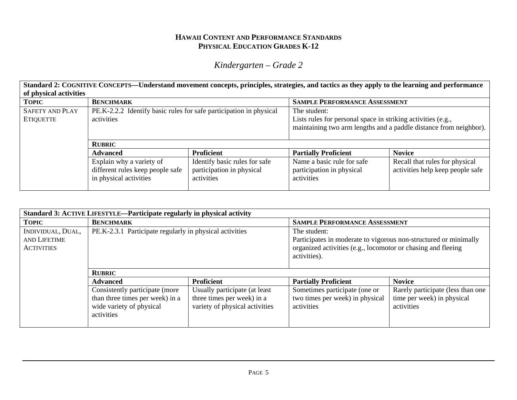# *Kindergarten – Grade 2*

**Standard 2: COGNITIVE CONCEPTS—Understand movement concepts, principles, strategies, and tactics as they apply to the learning and performance of physical activities** 

| <b>TOPIC</b>           | <b>BENCHMARK</b>                                                   |                               | <b>SAMPLE PERFORMANCE ASSESSMENT</b>                              |                                  |  |
|------------------------|--------------------------------------------------------------------|-------------------------------|-------------------------------------------------------------------|----------------------------------|--|
| <b>SAFETY AND PLAY</b> | PE.K-2.2.2 Identify basic rules for safe participation in physical |                               | The student:                                                      |                                  |  |
| <b>ETIQUETTE</b>       | activities                                                         |                               | Lists rules for personal space in striking activities (e.g.,      |                                  |  |
|                        |                                                                    |                               | maintaining two arm lengths and a paddle distance from neighbor). |                                  |  |
|                        |                                                                    |                               |                                                                   |                                  |  |
|                        | <b>RUBRIC</b>                                                      |                               |                                                                   |                                  |  |
|                        | <b>Advanced</b>                                                    | <b>Proficient</b>             | <b>Partially Proficient</b>                                       | <b>Novice</b>                    |  |
|                        | Explain why a variety of                                           | Identify basic rules for safe | Name a basic rule for safe                                        | Recall that rules for physical   |  |
|                        | different rules keep people safe                                   | participation in physical     | participation in physical                                         | activities help keep people safe |  |
|                        | in physical activities                                             | activities                    | activities                                                        |                                  |  |
|                        |                                                                    |                               |                                                                   |                                  |  |

| Standard 3: ACTIVE LIFESTYLE—Participate regularly in physical activity |                                                                                                             |                                                                                               |                                                                                                                                                                  |                                                                               |  |
|-------------------------------------------------------------------------|-------------------------------------------------------------------------------------------------------------|-----------------------------------------------------------------------------------------------|------------------------------------------------------------------------------------------------------------------------------------------------------------------|-------------------------------------------------------------------------------|--|
| <b>TOPIC</b>                                                            | <b>BENCHMARK</b>                                                                                            |                                                                                               | <b>SAMPLE PERFORMANCE ASSESSMENT</b>                                                                                                                             |                                                                               |  |
| INDIVIDUAL, DUAL,<br>AND LIFETIME<br><b>ACTIVITIES</b>                  | PE.K-2.3.1 Participate regularly in physical activities                                                     |                                                                                               | The student:<br>Participates in moderate to vigorous non-structured or minimally<br>organized activities (e.g., locomotor or chasing and fleeing<br>activities). |                                                                               |  |
|                                                                         | <b>RUBRIC</b>                                                                                               |                                                                                               |                                                                                                                                                                  |                                                                               |  |
|                                                                         | <b>Advanced</b>                                                                                             | <b>Proficient</b>                                                                             | <b>Partially Proficient</b>                                                                                                                                      | <b>Novice</b>                                                                 |  |
|                                                                         | Consistently participate (more<br>than three times per week) in a<br>wide variety of physical<br>activities | Usually participate (at least<br>three times per week) in a<br>variety of physical activities | Sometimes participate (one or<br>two times per week) in physical<br>activities                                                                                   | Rarely participate (less than one<br>time per week) in physical<br>activities |  |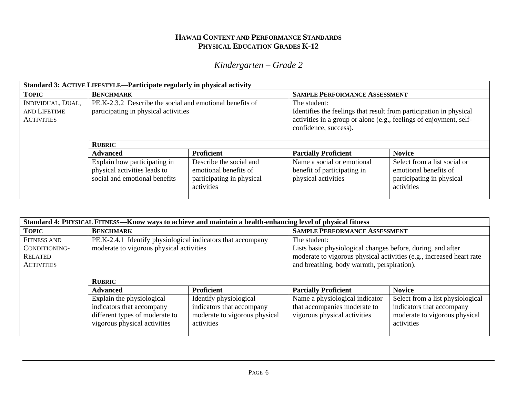# *Kindergarten – Grade 2*

| Standard 3: ACTIVE LIFESTYLE—Participate regularly in physical activity |                                                                                                  |                                                                                             |                                                                                                                                                                                   |                                                                                                  |  |
|-------------------------------------------------------------------------|--------------------------------------------------------------------------------------------------|---------------------------------------------------------------------------------------------|-----------------------------------------------------------------------------------------------------------------------------------------------------------------------------------|--------------------------------------------------------------------------------------------------|--|
| <b>TOPIC</b>                                                            | <b>BENCHMARK</b>                                                                                 |                                                                                             |                                                                                                                                                                                   | <b>SAMPLE PERFORMANCE ASSESSMENT</b>                                                             |  |
| INDIVIDUAL, DUAL,<br>AND LIFETIME<br><b>ACTIVITIES</b>                  | PE.K-2.3.2 Describe the social and emotional benefits of<br>participating in physical activities |                                                                                             | The student:<br>Identifies the feelings that result from participation in physical<br>activities in a group or alone (e.g., feelings of enjoyment, self-<br>confidence, success). |                                                                                                  |  |
|                                                                         | <b>RUBRIC</b>                                                                                    |                                                                                             |                                                                                                                                                                                   |                                                                                                  |  |
|                                                                         | <b>Advanced</b>                                                                                  | <b>Proficient</b>                                                                           | <b>Partially Proficient</b>                                                                                                                                                       | <b>Novice</b>                                                                                    |  |
|                                                                         | Explain how participating in<br>physical activities leads to<br>social and emotional benefits    | Describe the social and<br>emotional benefits of<br>participating in physical<br>activities | Name a social or emotional<br>benefit of participating in<br>physical activities                                                                                                  | Select from a list social or<br>emotional benefits of<br>participating in physical<br>activities |  |

| Standard 4: PHYSICAL FITNESS-Know ways to achieve and maintain a health-enhancing level of physical fitness |                                                                                                                          |                                                                                                    |                                                                                                                                                                                                   |                                                                                                              |
|-------------------------------------------------------------------------------------------------------------|--------------------------------------------------------------------------------------------------------------------------|----------------------------------------------------------------------------------------------------|---------------------------------------------------------------------------------------------------------------------------------------------------------------------------------------------------|--------------------------------------------------------------------------------------------------------------|
| <b>TOPIC</b>                                                                                                | <b>BENCHMARK</b>                                                                                                         |                                                                                                    | <b>SAMPLE PERFORMANCE ASSESSMENT</b>                                                                                                                                                              |                                                                                                              |
| <b>FITNESS AND</b><br>CONDITIONING-<br>RELATED<br><b>ACTIVITIES</b>                                         | PE.K-2.4.1 Identify physiological indicators that accompany<br>moderate to vigorous physical activities                  |                                                                                                    | The student:<br>Lists basic physiological changes before, during, and after<br>moderate to vigorous physical activities (e.g., increased heart rate<br>and breathing, body warmth, perspiration). |                                                                                                              |
|                                                                                                             | <b>RUBRIC</b>                                                                                                            |                                                                                                    |                                                                                                                                                                                                   |                                                                                                              |
|                                                                                                             | <b>Advanced</b>                                                                                                          | <b>Proficient</b>                                                                                  | <b>Partially Proficient</b>                                                                                                                                                                       | <b>Novice</b>                                                                                                |
|                                                                                                             | Explain the physiological<br>indicators that accompany<br>different types of moderate to<br>vigorous physical activities | Identify physiological<br>indicators that accompany<br>moderate to vigorous physical<br>activities | Name a physiological indicator<br>that accompanies moderate to<br>vigorous physical activities                                                                                                    | Select from a list physiological<br>indicators that accompany<br>moderate to vigorous physical<br>activities |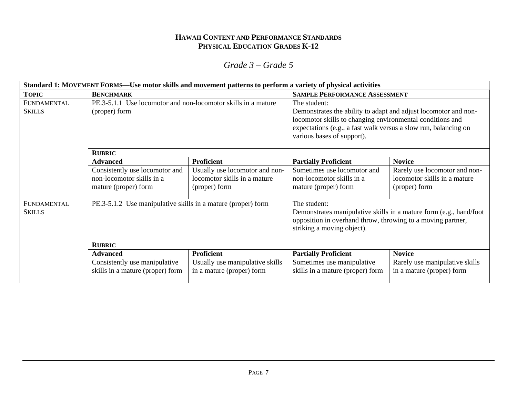|               | Standard 1: MOVEMENT FORMS—Use motor skills and movement patterns to perform a variety of physical activities |                                 |                                                                 |                                                                    |
|---------------|---------------------------------------------------------------------------------------------------------------|---------------------------------|-----------------------------------------------------------------|--------------------------------------------------------------------|
| <b>TOPIC</b>  | <b>BENCHMARK</b>                                                                                              |                                 | <b>SAMPLE PERFORMANCE ASSESSMENT</b>                            |                                                                    |
| FUNDAMENTAL   | PE.3-5.1.1 Use locomotor and non-locomotor skills in a mature                                                 |                                 | The student:                                                    |                                                                    |
| <b>SKILLS</b> | (proper) form                                                                                                 |                                 | Demonstrates the ability to adapt and adjust locomotor and non- |                                                                    |
|               |                                                                                                               |                                 | locomotor skills to changing environmental conditions and       |                                                                    |
|               |                                                                                                               |                                 | expectations (e.g., a fast walk versus a slow run, balancing on |                                                                    |
|               |                                                                                                               |                                 | various bases of support).                                      |                                                                    |
|               |                                                                                                               |                                 |                                                                 |                                                                    |
|               | <b>RUBRIC</b><br><b>Proficient</b>                                                                            |                                 | <b>Partially Proficient</b>                                     | <b>Novice</b>                                                      |
|               | <b>Advanced</b>                                                                                               |                                 |                                                                 |                                                                    |
|               | Consistently use locomotor and                                                                                | Usually use locomotor and non-  | Sometimes use locomotor and                                     | Rarely use locomotor and non-                                      |
|               | non-locomotor skills in a                                                                                     | locomotor skills in a mature    | non-locomotor skills in a                                       | locomotor skills in a mature                                       |
|               | mature (proper) form                                                                                          | (proper) form                   | mature (proper) form                                            | (proper) form                                                      |
|               |                                                                                                               |                                 |                                                                 |                                                                    |
| FUNDAMENTAL   | PE.3-5.1.2 Use manipulative skills in a mature (proper) form                                                  |                                 | The student:                                                    |                                                                    |
| <b>SKILLS</b> |                                                                                                               |                                 |                                                                 | Demonstrates manipulative skills in a mature form (e.g., hand/foot |
|               |                                                                                                               |                                 | opposition in overhand throw, throwing to a moving partner,     |                                                                    |
|               |                                                                                                               |                                 | striking a moving object).                                      |                                                                    |
|               |                                                                                                               |                                 |                                                                 |                                                                    |
|               | <b>RUBRIC</b>                                                                                                 |                                 |                                                                 |                                                                    |
|               | <b>Advanced</b>                                                                                               | <b>Proficient</b>               | <b>Partially Proficient</b>                                     | <b>Novice</b>                                                      |
|               | Consistently use manipulative                                                                                 | Usually use manipulative skills | Sometimes use manipulative                                      | Rarely use manipulative skills                                     |
|               | skills in a mature (proper) form                                                                              | in a mature (proper) form       | skills in a mature (proper) form                                | in a mature (proper) form                                          |
|               |                                                                                                               |                                 |                                                                 |                                                                    |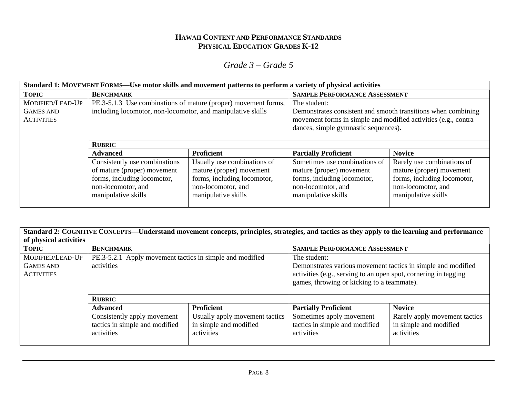| Standard 1: MOVEMENT FORMS—Use motor skills and movement patterns to perform a variety of physical activities |                                                                                                                                          |                                                                                                                                     |                                                                                                                                                                                         |                                                                                                                                    |
|---------------------------------------------------------------------------------------------------------------|------------------------------------------------------------------------------------------------------------------------------------------|-------------------------------------------------------------------------------------------------------------------------------------|-----------------------------------------------------------------------------------------------------------------------------------------------------------------------------------------|------------------------------------------------------------------------------------------------------------------------------------|
| <b>TOPIC</b>                                                                                                  | <b>BENCHMARK</b>                                                                                                                         |                                                                                                                                     | <b>SAMPLE PERFORMANCE ASSESSMENT</b>                                                                                                                                                    |                                                                                                                                    |
| MODIFIED/LEAD-UP<br><b>GAMES AND</b><br><b>ACTIVITIES</b>                                                     | PE.3-5.1.3 Use combinations of mature (proper) movement forms,<br>including locomotor, non-locomotor, and manipulative skills            |                                                                                                                                     | The student:<br>Demonstrates consistent and smooth transitions when combining<br>movement forms in simple and modified activities (e.g., contra<br>dances, simple gymnastic sequences). |                                                                                                                                    |
|                                                                                                               | <b>RUBRIC</b>                                                                                                                            |                                                                                                                                     |                                                                                                                                                                                         |                                                                                                                                    |
|                                                                                                               | <b>Advanced</b>                                                                                                                          | <b>Proficient</b>                                                                                                                   | <b>Partially Proficient</b>                                                                                                                                                             | <b>Novice</b>                                                                                                                      |
|                                                                                                               | Consistently use combinations<br>of mature (proper) movement<br>forms, including locomotor,<br>non-locomotor, and<br>manipulative skills | Usually use combinations of<br>mature (proper) movement<br>forms, including locomotor,<br>non-locomotor, and<br>manipulative skills | Sometimes use combinations of<br>mature (proper) movement<br>forms, including locomotor,<br>non-locomotor, and<br>manipulative skills                                                   | Rarely use combinations of<br>mature (proper) movement<br>forms, including locomotor,<br>non-locomotor, and<br>manipulative skills |

| Standard 2: COGNITIVE CONCEPTS—Understand movement concepts, principles, strategies, and tactics as they apply to the learning and performance<br>of physical activities |                                                                             |                                                                        |                                                                                                                                                                               |                                                                       |  |
|--------------------------------------------------------------------------------------------------------------------------------------------------------------------------|-----------------------------------------------------------------------------|------------------------------------------------------------------------|-------------------------------------------------------------------------------------------------------------------------------------------------------------------------------|-----------------------------------------------------------------------|--|
| <b>TOPIC</b>                                                                                                                                                             | <b>BENCHMARK</b>                                                            |                                                                        | <b>SAMPLE PERFORMANCE ASSESSMENT</b>                                                                                                                                          |                                                                       |  |
| MODIFIED/LEAD-UP                                                                                                                                                         | PE.3-5.2.1 Apply movement tactics in simple and modified                    |                                                                        | The student:                                                                                                                                                                  |                                                                       |  |
| <b>GAMES AND</b><br><b>ACTIVITIES</b>                                                                                                                                    | activities                                                                  |                                                                        | Demonstrates various movement tactics in simple and modified<br>activities (e.g., serving to an open spot, cornering in tagging<br>games, throwing or kicking to a teammate). |                                                                       |  |
|                                                                                                                                                                          | <b>RUBRIC</b>                                                               |                                                                        |                                                                                                                                                                               |                                                                       |  |
|                                                                                                                                                                          | <b>Advanced</b>                                                             | <b>Proficient</b>                                                      | <b>Partially Proficient</b>                                                                                                                                                   | <b>Novice</b>                                                         |  |
|                                                                                                                                                                          | Consistently apply movement<br>tactics in simple and modified<br>activities | Usually apply movement tactics<br>in simple and modified<br>activities | Sometimes apply movement<br>tactics in simple and modified<br>activities                                                                                                      | Rarely apply movement tactics<br>in simple and modified<br>activities |  |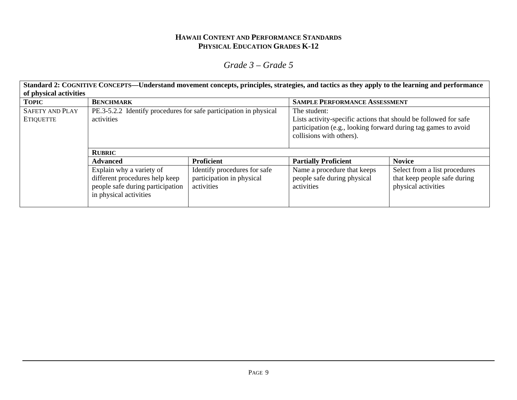# *Grade 3 – Grade 5*

**Standard 2: COGNITIVE CONCEPTS—Understand movement concepts, principles, strategies, and tactics as they apply to the learning and performance of physical activities TOPIC BENCHMARK BENCHMARK** SAMPLE PERFORMANCE ASSESSMENT PE.3-5.2.2 Identify procedures for safe participation in physical activities The student: Lists activity-specific actions that should be followed for safe participation (e.g., looking forward during tag games to avoid collisions with others). **RUBRIC**Advanced **Proficient** Proficient **Partially Proficient** Novice SAFETY AND PLAY ETIQUETTE Explain why a variety of different procedures help keep people safe during participation in physical activities Identify procedures for safe participation in physical activities Name a procedure that keeps people safe during physical activities Select from a list procedures that keep people safe during physical activities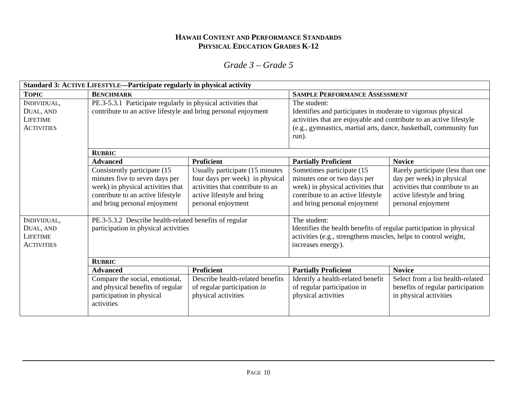| Standard 3: ACTIVE LIFESTYLE—Participate regularly in physical activity |                                                                                                                                                                          |                                                                                                                                                            |                                                                                                                                                                                                                                   |                                                                                                                                                        |
|-------------------------------------------------------------------------|--------------------------------------------------------------------------------------------------------------------------------------------------------------------------|------------------------------------------------------------------------------------------------------------------------------------------------------------|-----------------------------------------------------------------------------------------------------------------------------------------------------------------------------------------------------------------------------------|--------------------------------------------------------------------------------------------------------------------------------------------------------|
| <b>TOPIC</b>                                                            | <b>BENCHMARK</b>                                                                                                                                                         |                                                                                                                                                            | <b>SAMPLE PERFORMANCE ASSESSMENT</b>                                                                                                                                                                                              |                                                                                                                                                        |
| INDIVIDUAL,<br>DUAL, AND<br><b>LIFETIME</b><br><b>ACTIVITIES</b>        | PE.3-5.3.1 Participate regularly in physical activities that<br>contribute to an active lifestyle and bring personal enjoyment                                           |                                                                                                                                                            | The student:<br>Identifies and participates in moderate to vigorous physical<br>activities that are enjoyable and contribute to an active lifestyle<br>(e.g., gymnastics, martial arts, dance, basketball, community fun<br>run). |                                                                                                                                                        |
|                                                                         | <b>RUBRIC</b>                                                                                                                                                            |                                                                                                                                                            |                                                                                                                                                                                                                                   |                                                                                                                                                        |
|                                                                         | <b>Advanced</b>                                                                                                                                                          | <b>Proficient</b>                                                                                                                                          | <b>Partially Proficient</b>                                                                                                                                                                                                       | <b>Novice</b>                                                                                                                                          |
|                                                                         | Consistently participate (15<br>minutes five to seven days per<br>week) in physical activities that<br>contribute to an active lifestyle<br>and bring personal enjoyment | Usually participate (15 minutes<br>four days per week) in physical<br>activities that contribute to an<br>active lifestyle and bring<br>personal enjoyment | Sometimes participate (15<br>minutes one or two days per<br>week) in physical activities that<br>contribute to an active lifestyle<br>and bring personal enjoyment                                                                | Rarely participate (less than one<br>day per week) in physical<br>activities that contribute to an<br>active lifestyle and bring<br>personal enjoyment |
| INDIVIDUAL,<br>DUAL, AND<br><b>LIFETIME</b><br><b>ACTIVITIES</b>        | PE.3-5.3.2 Describe health-related benefits of regular<br>participation in physical activities                                                                           |                                                                                                                                                            | The student:<br>Identifies the health benefits of regular participation in physical<br>activities (e.g., strengthens muscles, helps to control weight,<br>increases energy).                                                      |                                                                                                                                                        |
|                                                                         | <b>RUBRIC</b>                                                                                                                                                            |                                                                                                                                                            |                                                                                                                                                                                                                                   |                                                                                                                                                        |
|                                                                         | <b>Advanced</b>                                                                                                                                                          | <b>Proficient</b>                                                                                                                                          | <b>Partially Proficient</b>                                                                                                                                                                                                       | <b>Novice</b>                                                                                                                                          |
|                                                                         | Compare the social, emotional,<br>and physical benefits of regular<br>participation in physical<br>activities                                                            | Describe health-related benefits<br>of regular participation in<br>physical activities                                                                     | Identify a health-related benefit<br>of regular participation in<br>physical activities                                                                                                                                           | Select from a list health-related<br>benefits of regular participation<br>in physical activities                                                       |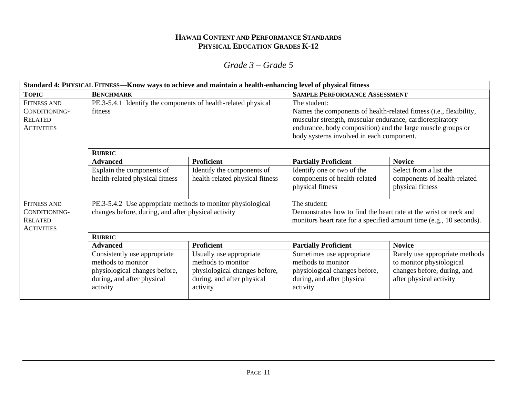|                                                                            | Standard 4: PHYSICAL FITNESS—Know ways to achieve and maintain a health-enhancing level of physical fitness                   |                                                                                                                          |                                                                                                                                                                                                                                                           |                                                                                                                      |  |
|----------------------------------------------------------------------------|-------------------------------------------------------------------------------------------------------------------------------|--------------------------------------------------------------------------------------------------------------------------|-----------------------------------------------------------------------------------------------------------------------------------------------------------------------------------------------------------------------------------------------------------|----------------------------------------------------------------------------------------------------------------------|--|
| <b>TOPIC</b>                                                               | <b>BENCHMARK</b>                                                                                                              |                                                                                                                          | <b>SAMPLE PERFORMANCE ASSESSMENT</b>                                                                                                                                                                                                                      |                                                                                                                      |  |
| <b>FITNESS AND</b><br>CONDITIONING-<br><b>RELATED</b><br><b>ACTIVITIES</b> | PE.3-5.4.1 Identify the components of health-related physical<br>fitness                                                      |                                                                                                                          | The student:<br>Names the components of health-related fitness (i.e., flexibility,<br>muscular strength, muscular endurance, cardiorespiratory<br>endurance, body composition) and the large muscle groups or<br>body systems involved in each component. |                                                                                                                      |  |
|                                                                            | <b>RUBRIC</b>                                                                                                                 |                                                                                                                          |                                                                                                                                                                                                                                                           |                                                                                                                      |  |
|                                                                            | <b>Proficient</b><br><b>Advanced</b>                                                                                          |                                                                                                                          | <b>Partially Proficient</b>                                                                                                                                                                                                                               | <b>Novice</b>                                                                                                        |  |
|                                                                            | Explain the components of<br>health-related physical fitness                                                                  | Identify the components of<br>health-related physical fitness                                                            | Identify one or two of the<br>components of health-related<br>physical fitness                                                                                                                                                                            | Select from a list the<br>components of health-related<br>physical fitness                                           |  |
| <b>FITNESS AND</b>                                                         | PE.3-5.4.2 Use appropriate methods to monitor physiological                                                                   |                                                                                                                          | The student:                                                                                                                                                                                                                                              |                                                                                                                      |  |
| CONDITIONING-<br><b>RELATED</b><br><b>ACTIVITIES</b>                       | changes before, during, and after physical activity                                                                           |                                                                                                                          | Demonstrates how to find the heart rate at the wrist or neck and<br>monitors heart rate for a specified amount time (e.g., 10 seconds).                                                                                                                   |                                                                                                                      |  |
|                                                                            | <b>RUBRIC</b>                                                                                                                 |                                                                                                                          |                                                                                                                                                                                                                                                           |                                                                                                                      |  |
|                                                                            | <b>Advanced</b>                                                                                                               | <b>Proficient</b>                                                                                                        | <b>Partially Proficient</b>                                                                                                                                                                                                                               | <b>Novice</b>                                                                                                        |  |
|                                                                            | Consistently use appropriate<br>methods to monitor<br>physiological changes before,<br>during, and after physical<br>activity | Usually use appropriate<br>methods to monitor<br>physiological changes before,<br>during, and after physical<br>activity | Sometimes use appropriate<br>methods to monitor<br>physiological changes before,<br>during, and after physical<br>activity                                                                                                                                | Rarely use appropriate methods<br>to monitor physiological<br>changes before, during, and<br>after physical activity |  |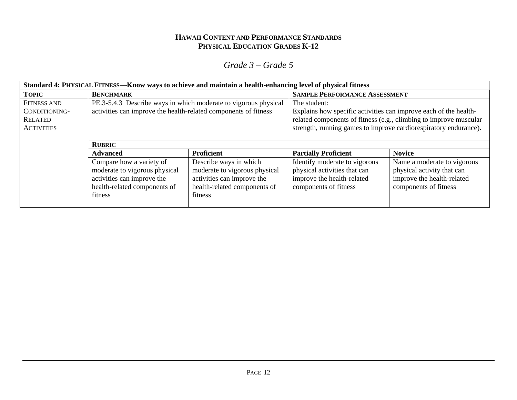| Standard 4: PHYSICAL FITNESS—Know ways to achieve and maintain a health-enhancing level of physical fitness |                                                                                                                                    |                                                                                                                                  |                                                                                                                      |                                                                                                                                       |
|-------------------------------------------------------------------------------------------------------------|------------------------------------------------------------------------------------------------------------------------------------|----------------------------------------------------------------------------------------------------------------------------------|----------------------------------------------------------------------------------------------------------------------|---------------------------------------------------------------------------------------------------------------------------------------|
| <b>TOPIC</b>                                                                                                | <b>BENCHMARK</b>                                                                                                                   |                                                                                                                                  | <b>SAMPLE PERFORMANCE ASSESSMENT</b>                                                                                 |                                                                                                                                       |
| <b>FITNESS AND</b><br>CONDITIONING-<br><b>RELATED</b><br><b>ACTIVITIES</b>                                  | PE.3-5.4.3 Describe ways in which moderate to vigorous physical<br>activities can improve the health-related components of fitness |                                                                                                                                  | The student:<br>Explains how specific activities can improve each of the health-                                     | related components of fitness (e.g., climbing to improve muscular<br>strength, running games to improve cardiorespiratory endurance). |
|                                                                                                             | <b>RUBRIC</b>                                                                                                                      |                                                                                                                                  |                                                                                                                      |                                                                                                                                       |
|                                                                                                             | <b>Advanced</b>                                                                                                                    | <b>Proficient</b>                                                                                                                | <b>Partially Proficient</b>                                                                                          | <b>Novice</b>                                                                                                                         |
|                                                                                                             | Compare how a variety of<br>moderate to vigorous physical<br>activities can improve the<br>health-related components of<br>fitness | Describe ways in which<br>moderate to vigorous physical<br>activities can improve the<br>health-related components of<br>fitness | Identify moderate to vigorous<br>physical activities that can<br>improve the health-related<br>components of fitness | Name a moderate to vigorous<br>physical activity that can<br>improve the health-related<br>components of fitness                      |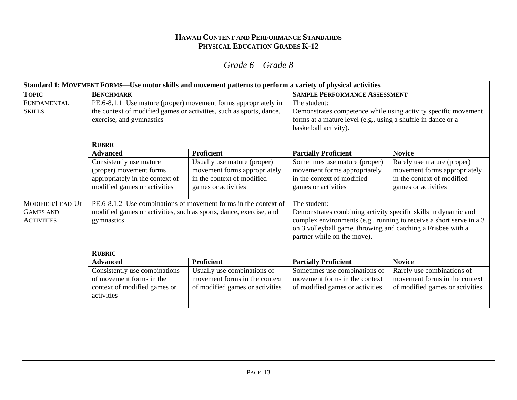| Standard 1: MOVEMENT FORMS—Use motor skills and movement patterns to perform a variety of physical activities |                                                                                                                                                                   |                                                                                                                  |                                                                                                                                                                               |                                                                                                                 |
|---------------------------------------------------------------------------------------------------------------|-------------------------------------------------------------------------------------------------------------------------------------------------------------------|------------------------------------------------------------------------------------------------------------------|-------------------------------------------------------------------------------------------------------------------------------------------------------------------------------|-----------------------------------------------------------------------------------------------------------------|
| <b>TOPIC</b>                                                                                                  | <b>BENCHMARK</b>                                                                                                                                                  |                                                                                                                  | <b>SAMPLE PERFORMANCE ASSESSMENT</b>                                                                                                                                          |                                                                                                                 |
| FUNDAMENTAL<br><b>SKILLS</b>                                                                                  | PE.6-8.1.1 Use mature (proper) movement forms appropriately in<br>the context of modified games or activities, such as sports, dance,<br>exercise, and gymnastics |                                                                                                                  | The student:<br>Demonstrates competence while using activity specific movement<br>forms at a mature level (e.g., using a shuffle in dance or a<br>basketball activity).       |                                                                                                                 |
|                                                                                                               | <b>RUBRIC</b>                                                                                                                                                     |                                                                                                                  |                                                                                                                                                                               |                                                                                                                 |
|                                                                                                               | <b>Proficient</b><br><b>Advanced</b>                                                                                                                              |                                                                                                                  | <b>Partially Proficient</b>                                                                                                                                                   | <b>Novice</b>                                                                                                   |
|                                                                                                               | Consistently use mature<br>(proper) movement forms<br>appropriately in the context of<br>modified games or activities                                             | Usually use mature (proper)<br>movement forms appropriately<br>in the context of modified<br>games or activities | Sometimes use mature (proper)<br>movement forms appropriately<br>in the context of modified<br>games or activities                                                            | Rarely use mature (proper)<br>movement forms appropriately<br>in the context of modified<br>games or activities |
| MODIFIED/LEAD-UP<br><b>GAMES AND</b><br><b>ACTIVITIES</b>                                                     | PE.6-8.1.2 Use combinations of movement forms in the context of<br>modified games or activities, such as sports, dance, exercise, and<br>gymnastics               |                                                                                                                  | The student:<br>Demonstrates combining activity specific skills in dynamic and<br>on 3 volleyball game, throwing and catching a Frisbee with a<br>partner while on the move). | complex environments (e.g., running to receive a short serve in a 3                                             |
|                                                                                                               | <b>RUBRIC</b>                                                                                                                                                     |                                                                                                                  |                                                                                                                                                                               |                                                                                                                 |
|                                                                                                               | <b>Advanced</b>                                                                                                                                                   | <b>Proficient</b>                                                                                                | <b>Partially Proficient</b>                                                                                                                                                   | <b>Novice</b>                                                                                                   |
|                                                                                                               | Consistently use combinations<br>of movement forms in the<br>context of modified games or<br>activities                                                           | Usually use combinations of<br>movement forms in the context<br>of modified games or activities                  | Sometimes use combinations of<br>movement forms in the context<br>of modified games or activities                                                                             | Rarely use combinations of<br>movement forms in the context<br>of modified games or activities                  |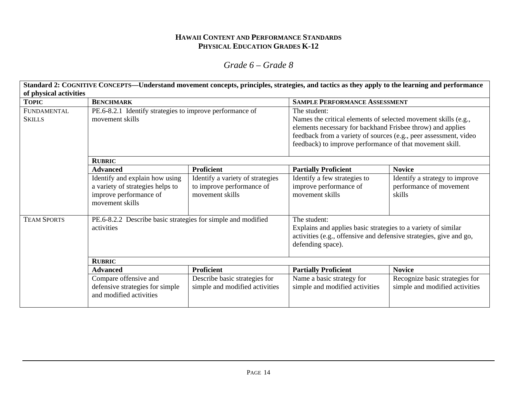### *Grade 6 – Grade 8*

**Standard 2: COGNITIVE CONCEPTS—Understand movement concepts, principles, strategies, and tactics as they apply to the learning and performance of physical activities TOPIC BENCHMARK BENCHMARK** BENCHMARK **BENCHMARK** BENCHMANCE ASSESSMENT PE.6-8.2.1 Identify strategies to improve performance of movement skills The student: Names the critical elements of selected movement skills (e.g., elements necessary for backhand Frisbee throw) and applies feedback from a variety of sources (e.g., peer assessment, video feedback) to improve performance of that movement skill. **RUBRIC**Advanced **Proficient** Proficient **Partially Proficient** Novice FUNDAMENTAL **SKILLS** Identify and explain how using a variety of strategies helps to improve performance of movement skills Identify a variety of strategies to improve performance of movement skills Identify a few strategies to improve performance of movement skills Identify a strategy to improve performance of movement skills PE.6-8.2.2 Describe basic strategies for simple and modified activities The student: Explains and applies basic strategies to a variety of similar activities (e.g., offensive and defensive strategies, give and go, defending space). **RUBRIC**Advanced **Proficient** Proficient **Partially Proficient** Novice TEAM SPORTSCompare offensive and defensive strategies for simple and modified activities Describe basic strategies for simple and modified activities Name a basic strategy for simple and modified activities Recognize basic strategies for simple and modified activities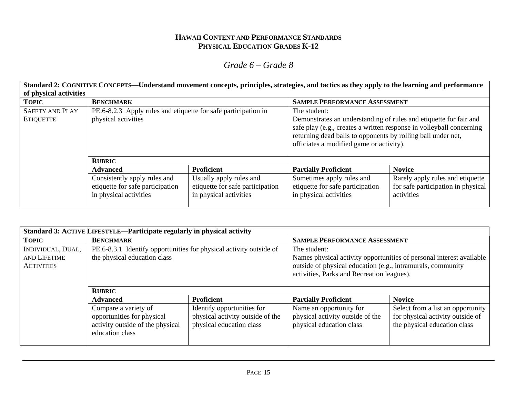# *Grade 6 – Grade 8*

**Standard 2: COGNITIVE CONCEPTS—Understand movement concepts, principles, strategies, and tactics as they apply to the learning and performance of physical activities** 

| <b>TOPIC</b>                               | <b>BENCHMARK</b>                                                                           |                                                                                       | <b>SAMPLE PERFORMANCE ASSESSMENT</b>                                                                                                                                                                                                                                  |                                                                                      |
|--------------------------------------------|--------------------------------------------------------------------------------------------|---------------------------------------------------------------------------------------|-----------------------------------------------------------------------------------------------------------------------------------------------------------------------------------------------------------------------------------------------------------------------|--------------------------------------------------------------------------------------|
| <b>SAFETY AND PLAY</b><br><b>ETIQUETTE</b> | PE.6-8.2.3 Apply rules and etiquette for safe participation in<br>physical activities      |                                                                                       | The student:<br>Demonstrates an understanding of rules and etiquette for fair and<br>safe play (e.g., creates a written response in volleyball concerning<br>returning dead balls to opponents by rolling ball under net,<br>officiates a modified game or activity). |                                                                                      |
|                                            | <b>RUBRIC</b>                                                                              |                                                                                       |                                                                                                                                                                                                                                                                       |                                                                                      |
|                                            | <b>Advanced</b>                                                                            | <b>Proficient</b>                                                                     | <b>Partially Proficient</b>                                                                                                                                                                                                                                           | <b>Novice</b>                                                                        |
|                                            | Consistently apply rules and<br>etiquette for safe participation<br>in physical activities | Usually apply rules and<br>etiquette for safe participation<br>in physical activities | Sometimes apply rules and<br>etiquette for safe participation<br>in physical activities                                                                                                                                                                               | Rarely apply rules and etiquette<br>for safe participation in physical<br>activities |

| Standard 3: ACTIVE LIFESTYLE—Participate regularly in physical activity |                                                                    |                                  |                                                             |                                                                      |
|-------------------------------------------------------------------------|--------------------------------------------------------------------|----------------------------------|-------------------------------------------------------------|----------------------------------------------------------------------|
| <b>TOPIC</b>                                                            | <b>BENCHMARK</b>                                                   |                                  | <b>SAMPLE PERFORMANCE ASSESSMENT</b>                        |                                                                      |
| INDIVIDUAL, DUAL,                                                       | PE.6-8.3.1 Identify opportunities for physical activity outside of |                                  | The student:                                                |                                                                      |
| AND LIFETIME                                                            | the physical education class                                       |                                  |                                                             | Names physical activity opportunities of personal interest available |
| <b>ACTIVITIES</b>                                                       |                                                                    |                                  | outside of physical education (e.g., intramurals, community |                                                                      |
|                                                                         |                                                                    |                                  | activities, Parks and Recreation leagues).                  |                                                                      |
|                                                                         |                                                                    |                                  |                                                             |                                                                      |
|                                                                         | <b>RUBRIC</b>                                                      |                                  |                                                             |                                                                      |
|                                                                         | <b>Advanced</b>                                                    | <b>Proficient</b>                | <b>Partially Proficient</b>                                 | <b>Novice</b>                                                        |
|                                                                         | Compare a variety of                                               | Identify opportunities for       | Name an opportunity for                                     | Select from a list an opportunity                                    |
|                                                                         | opportunities for physical                                         | physical activity outside of the | physical activity outside of the                            | for physical activity outside of                                     |
|                                                                         | activity outside of the physical                                   | physical education class         | physical education class                                    | the physical education class                                         |
|                                                                         | education class                                                    |                                  |                                                             |                                                                      |
|                                                                         |                                                                    |                                  |                                                             |                                                                      |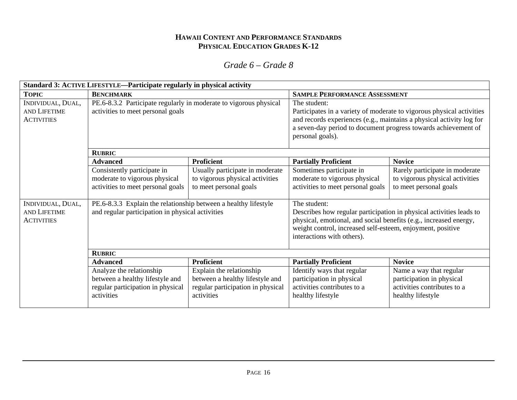| Standard 3: ACTIVE LIFESTYLE—Participate regularly in physical activity |                                                                                                                     |                                                                                                                |                                                                                                                                                                                                                                                      |                                                                                                          |
|-------------------------------------------------------------------------|---------------------------------------------------------------------------------------------------------------------|----------------------------------------------------------------------------------------------------------------|------------------------------------------------------------------------------------------------------------------------------------------------------------------------------------------------------------------------------------------------------|----------------------------------------------------------------------------------------------------------|
| <b>TOPIC</b>                                                            | <b>BENCHMARK</b>                                                                                                    |                                                                                                                | <b>SAMPLE PERFORMANCE ASSESSMENT</b>                                                                                                                                                                                                                 |                                                                                                          |
| INDIVIDUAL, DUAL,<br><b>AND LIFETIME</b><br><b>ACTIVITIES</b>           | PE.6-8.3.2 Participate regularly in moderate to vigorous physical<br>activities to meet personal goals              |                                                                                                                | The student:<br>and records experiences (e.g., maintains a physical activity log for<br>a seven-day period to document progress towards achievement of<br>personal goals).                                                                           | Participates in a variety of moderate to vigorous physical activities                                    |
|                                                                         | <b>RUBRIC</b>                                                                                                       |                                                                                                                |                                                                                                                                                                                                                                                      |                                                                                                          |
|                                                                         | <b>Advanced</b>                                                                                                     | <b>Proficient</b>                                                                                              | <b>Partially Proficient</b>                                                                                                                                                                                                                          | <b>Novice</b>                                                                                            |
|                                                                         | Consistently participate in<br>moderate to vigorous physical                                                        | Usually participate in moderate<br>to vigorous physical activities                                             | Sometimes participate in<br>moderate to vigorous physical                                                                                                                                                                                            | Rarely participate in moderate<br>to vigorous physical activities                                        |
|                                                                         | activities to meet personal goals                                                                                   | to meet personal goals                                                                                         | activities to meet personal goals                                                                                                                                                                                                                    | to meet personal goals                                                                                   |
| INDIVIDUAL, DUAL,<br><b>AND LIFETIME</b><br><b>ACTIVITIES</b>           | PE.6-8.3.3 Explain the relationship between a healthy lifestyle<br>and regular participation in physical activities |                                                                                                                | The student:<br>Describes how regular participation in physical activities leads to<br>physical, emotional, and social benefits (e.g., increased energy,<br>weight control, increased self-esteem, enjoyment, positive<br>interactions with others). |                                                                                                          |
|                                                                         | <b>RUBRIC</b>                                                                                                       |                                                                                                                |                                                                                                                                                                                                                                                      |                                                                                                          |
|                                                                         | <b>Advanced</b>                                                                                                     | Proficient                                                                                                     | <b>Partially Proficient</b>                                                                                                                                                                                                                          | <b>Novice</b>                                                                                            |
|                                                                         | Analyze the relationship<br>between a healthy lifestyle and<br>regular participation in physical<br>activities      | Explain the relationship<br>between a healthy lifestyle and<br>regular participation in physical<br>activities | Identify ways that regular<br>participation in physical<br>activities contributes to a<br>healthy lifestyle                                                                                                                                          | Name a way that regular<br>participation in physical<br>activities contributes to a<br>healthy lifestyle |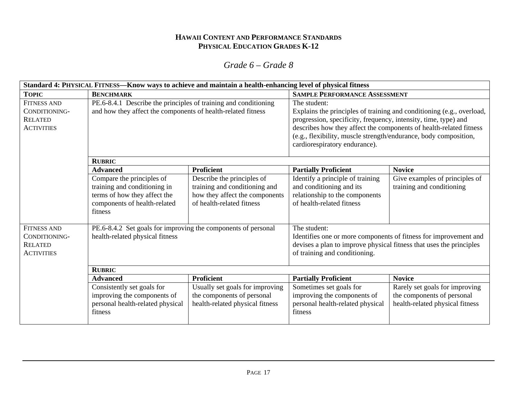|                                                                            | Standard 4: PHYSICAL FITNESS—Know ways to achieve and maintain a health-enhancing level of physical fitness                          |                                                                                                                            |                                                                                                                                                                                                                                                                                                                                     |                                                                                                 |
|----------------------------------------------------------------------------|--------------------------------------------------------------------------------------------------------------------------------------|----------------------------------------------------------------------------------------------------------------------------|-------------------------------------------------------------------------------------------------------------------------------------------------------------------------------------------------------------------------------------------------------------------------------------------------------------------------------------|-------------------------------------------------------------------------------------------------|
| <b>TOPIC</b>                                                               | <b>BENCHMARK</b>                                                                                                                     |                                                                                                                            | <b>SAMPLE PERFORMANCE ASSESSMENT</b>                                                                                                                                                                                                                                                                                                |                                                                                                 |
| <b>FITNESS AND</b><br>CONDITIONING-<br><b>RELATED</b><br><b>ACTIVITIES</b> | PE.6-8.4.1 Describe the principles of training and conditioning<br>and how they affect the components of health-related fitness      |                                                                                                                            | The student:<br>Explains the principles of training and conditioning (e.g., overload,<br>progression, specificity, frequency, intensity, time, type) and<br>describes how they affect the components of health-related fitness<br>(e.g., flexibility, muscle strength/endurance, body composition,<br>cardiorespiratory endurance). |                                                                                                 |
|                                                                            | <b>RUBRIC</b>                                                                                                                        |                                                                                                                            |                                                                                                                                                                                                                                                                                                                                     |                                                                                                 |
|                                                                            | <b>Advanced</b>                                                                                                                      | <b>Proficient</b>                                                                                                          | <b>Partially Proficient</b>                                                                                                                                                                                                                                                                                                         | <b>Novice</b>                                                                                   |
|                                                                            | Compare the principles of<br>training and conditioning in<br>terms of how they affect the<br>components of health-related<br>fitness | Describe the principles of<br>training and conditioning and<br>how they affect the components<br>of health-related fitness | Identify a principle of training<br>and conditioning and its<br>relationship to the components<br>of health-related fitness                                                                                                                                                                                                         | Give examples of principles of<br>training and conditioning                                     |
| <b>FITNESS AND</b><br>CONDITIONING-<br><b>RELATED</b><br><b>ACTIVITIES</b> | PE.6-8.4.2 Set goals for improving the components of personal<br>health-related physical fitness                                     |                                                                                                                            | The student:<br>Identifies one or more components of fitness for improvement and<br>devises a plan to improve physical fitness that uses the principles<br>of training and conditioning.                                                                                                                                            |                                                                                                 |
|                                                                            | <b>RUBRIC</b>                                                                                                                        |                                                                                                                            |                                                                                                                                                                                                                                                                                                                                     |                                                                                                 |
|                                                                            | <b>Advanced</b>                                                                                                                      | <b>Proficient</b>                                                                                                          | <b>Partially Proficient</b>                                                                                                                                                                                                                                                                                                         | <b>Novice</b>                                                                                   |
|                                                                            | Consistently set goals for<br>improving the components of<br>personal health-related physical<br>fitness                             | Usually set goals for improving<br>the components of personal<br>health-related physical fitness                           | Sometimes set goals for<br>improving the components of<br>personal health-related physical<br>fitness                                                                                                                                                                                                                               | Rarely set goals for improving<br>the components of personal<br>health-related physical fitness |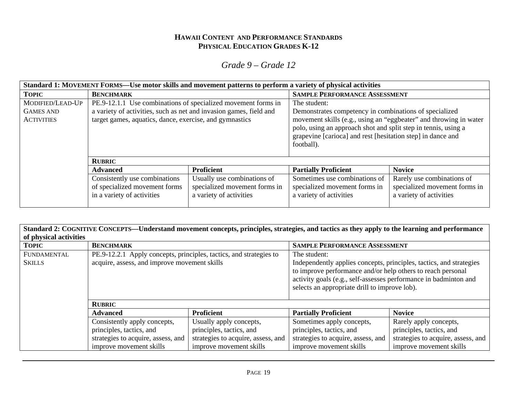|                                                           | Standard 1: MOVEMENT FORMS—Use motor skills and movement patterns to perform a variety of physical activities                                                                                  |                                                                                         |                                                                                                                                                                                                                                                                                            |                                                                                        |
|-----------------------------------------------------------|------------------------------------------------------------------------------------------------------------------------------------------------------------------------------------------------|-----------------------------------------------------------------------------------------|--------------------------------------------------------------------------------------------------------------------------------------------------------------------------------------------------------------------------------------------------------------------------------------------|----------------------------------------------------------------------------------------|
| <b>TOPIC</b>                                              | <b>BENCHMARK</b>                                                                                                                                                                               |                                                                                         | <b>SAMPLE PERFORMANCE ASSESSMENT</b>                                                                                                                                                                                                                                                       |                                                                                        |
| MODIFIED/LEAD-UP<br><b>GAMES AND</b><br><b>ACTIVITIES</b> | PE.9-12.1.1 Use combinations of specialized movement forms in<br>a variety of activities, such as net and invasion games, field and<br>target games, aquatics, dance, exercise, and gymnastics |                                                                                         | The student:<br>Demonstrates competency in combinations of specialized<br>movement skills (e.g., using an "eggbeater" and throwing in water<br>polo, using an approach shot and split step in tennis, using a<br>grapevine [carioca] and rest [hesitation step] in dance and<br>football). |                                                                                        |
|                                                           | <b>RUBRIC</b>                                                                                                                                                                                  |                                                                                         |                                                                                                                                                                                                                                                                                            |                                                                                        |
|                                                           | <b>Advanced</b>                                                                                                                                                                                | <b>Proficient</b>                                                                       | <b>Partially Proficient</b>                                                                                                                                                                                                                                                                | <b>Novice</b>                                                                          |
|                                                           | Consistently use combinations<br>of specialized movement forms<br>in a variety of activities                                                                                                   | Usually use combinations of<br>specialized movement forms in<br>a variety of activities | Sometimes use combinations of<br>specialized movement forms in<br>a variety of activities                                                                                                                                                                                                  | Rarely use combinations of<br>specialized movement forms in<br>a variety of activities |

| of physical activities       | Standard 2: COGNITIVE CONCEPTS—Understand movement concepts, principles, strategies, and tactics as they apply to the learning and performance |                                    |                                                                                                                                                                                                                                                                         |                                    |
|------------------------------|------------------------------------------------------------------------------------------------------------------------------------------------|------------------------------------|-------------------------------------------------------------------------------------------------------------------------------------------------------------------------------------------------------------------------------------------------------------------------|------------------------------------|
| <b>TOPIC</b>                 | <b>BENCHMARK</b>                                                                                                                               |                                    | <b>SAMPLE PERFORMANCE ASSESSMENT</b>                                                                                                                                                                                                                                    |                                    |
| FUNDAMENTAL<br><b>SKILLS</b> | PE.9-12.2.1 Apply concepts, principles, tactics, and strategies to<br>acquire, assess, and improve movement skills                             |                                    | The student:<br>Independently applies concepts, principles, tactics, and strategies<br>to improve performance and/or help others to reach personal<br>activity goals (e.g., self-assesses performance in badminton and<br>selects an appropriate drill to improve lob). |                                    |
|                              | <b>RUBRIC</b>                                                                                                                                  |                                    |                                                                                                                                                                                                                                                                         |                                    |
|                              | <b>Advanced</b>                                                                                                                                | <b>Proficient</b>                  | <b>Partially Proficient</b>                                                                                                                                                                                                                                             | <b>Novice</b>                      |
|                              | Consistently apply concepts,                                                                                                                   | Usually apply concepts,            | Sometimes apply concepts,                                                                                                                                                                                                                                               | Rarely apply concepts,             |
|                              | principles, tactics, and                                                                                                                       | principles, tactics, and           | principles, tactics, and                                                                                                                                                                                                                                                | principles, tactics, and           |
|                              | strategies to acquire, assess, and                                                                                                             | strategies to acquire, assess, and | strategies to acquire, assess, and                                                                                                                                                                                                                                      | strategies to acquire, assess, and |
|                              | improve movement skills                                                                                                                        | improve movement skills            | improve movement skills                                                                                                                                                                                                                                                 | improve movement skills            |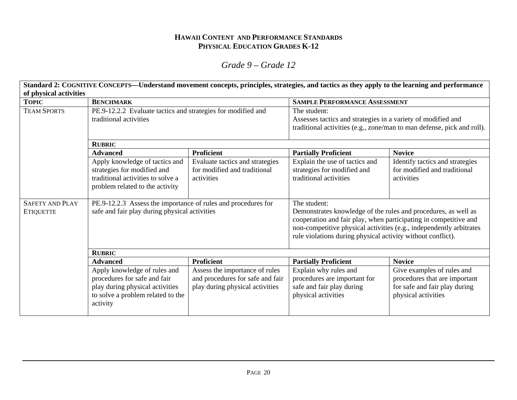# *Grade 9 – Grade 12*

**Standard 2: COGNITIVE CONCEPTS—Understand movement concepts, principles, strategies, and tactics as they apply to the learning and performance of physical activities TOPIC BENCHMARK BENCHMARK** SAMPLE PERFORMANCE ASSESSMENT PE.9-12.2.2 Evaluate tactics and strategies for modified and traditional activities The student: Assesses tactics and strategies in a variety of modified and traditional activities (e.g., zone/man to man defense, pick and roll). **RUBRIC**Advanced **Proficient** Proficient **Partially Proficient** Novice TEAM SPORTSApply knowledge of tactics and strategies for modified and traditional activities to solve a problem related to the activity Evaluate tactics and strategies for modified and traditional activities Explain the use of tactics and strategies for modified and traditional activities Identify tactics and strategies for modified and traditional activities PE.9-12.2.3 Assess the importance of rules and procedures for safe and fair play during physical activities The student: Demonstrates knowledge of the rules and procedures, as well as cooperation and fair play, when participating in competitive and non-competitive physical activities (e.g., independently arbitrates rule violations during physical activity without conflict). **RUBRIC**Advanced **Proficient** Proficient **Partially Proficient** Novice SAFETY AND PLAY **ETIQUETTE** Apply knowledge of rules and procedures for safe and fair play during physical activities to solve a problem related to the activity Assess the importance of rules and procedures for safe and fair play during physical activities Explain why rules and procedures are important for safe and fair play during physical activities Give examples of rules and procedures that are important for safe and fair play during physical activities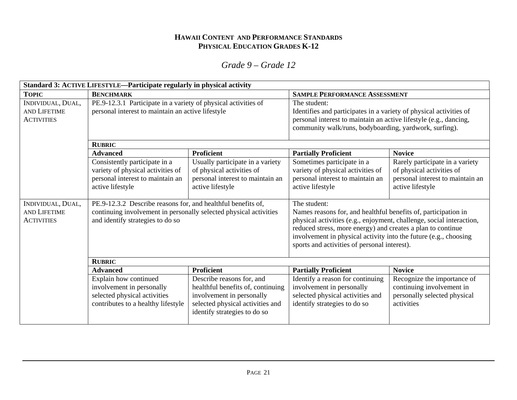|                                                               | Standard 3: ACTIVE LIFESTYLE—Participate regularly in physical activity                                                                                               |                                                                                                                                                                 |                                                                                                                                                                                                                                                                                                                                           |                                                                                                                      |
|---------------------------------------------------------------|-----------------------------------------------------------------------------------------------------------------------------------------------------------------------|-----------------------------------------------------------------------------------------------------------------------------------------------------------------|-------------------------------------------------------------------------------------------------------------------------------------------------------------------------------------------------------------------------------------------------------------------------------------------------------------------------------------------|----------------------------------------------------------------------------------------------------------------------|
| <b>TOPIC</b>                                                  | <b>BENCHMARK</b>                                                                                                                                                      |                                                                                                                                                                 | <b>SAMPLE PERFORMANCE ASSESSMENT</b>                                                                                                                                                                                                                                                                                                      |                                                                                                                      |
| INDIVIDUAL, DUAL,<br><b>AND LIFETIME</b><br><b>ACTIVITIES</b> | PE.9-12.3.1 Participate in a variety of physical activities of<br>personal interest to maintain an active lifestyle                                                   |                                                                                                                                                                 | The student:<br>Identifies and participates in a variety of physical activities of<br>personal interest to maintain an active lifestyle (e.g., dancing,<br>community walk/runs, bodyboarding, yardwork, surfing).                                                                                                                         |                                                                                                                      |
|                                                               | <b>RUBRIC</b>                                                                                                                                                         |                                                                                                                                                                 |                                                                                                                                                                                                                                                                                                                                           |                                                                                                                      |
|                                                               | <b>Advanced</b>                                                                                                                                                       | <b>Proficient</b>                                                                                                                                               | <b>Partially Proficient</b>                                                                                                                                                                                                                                                                                                               | <b>Novice</b>                                                                                                        |
|                                                               | Consistently participate in a<br>variety of physical activities of<br>personal interest to maintain an<br>active lifestyle                                            | Usually participate in a variety<br>of physical activities of<br>personal interest to maintain an<br>active lifestyle                                           | Sometimes participate in a<br>variety of physical activities of<br>personal interest to maintain an<br>active lifestyle                                                                                                                                                                                                                   | Rarely participate in a variety<br>of physical activities of<br>personal interest to maintain an<br>active lifestyle |
| INDIVIDUAL, DUAL,<br>AND LIFETIME<br><b>ACTIVITIES</b>        | PE.9-12.3.2 Describe reasons for, and healthful benefits of,<br>continuing involvement in personally selected physical activities<br>and identify strategies to do so |                                                                                                                                                                 | The student:<br>Names reasons for, and healthful benefits of, participation in<br>physical activities (e.g., enjoyment, challenge, social interaction,<br>reduced stress, more energy) and creates a plan to continue<br>involvement in physical activity into the future (e.g., choosing<br>sports and activities of personal interest). |                                                                                                                      |
|                                                               | <b>RUBRIC</b>                                                                                                                                                         |                                                                                                                                                                 |                                                                                                                                                                                                                                                                                                                                           |                                                                                                                      |
|                                                               | <b>Advanced</b>                                                                                                                                                       | <b>Proficient</b>                                                                                                                                               | <b>Partially Proficient</b>                                                                                                                                                                                                                                                                                                               | <b>Novice</b>                                                                                                        |
|                                                               | Explain how continued<br>involvement in personally<br>selected physical activities<br>contributes to a healthy lifestyle                                              | Describe reasons for, and<br>healthful benefits of, continuing<br>involvement in personally<br>selected physical activities and<br>identify strategies to do so | Identify a reason for continuing<br>involvement in personally<br>selected physical activities and<br>identify strategies to do so                                                                                                                                                                                                         | Recognize the importance of<br>continuing involvement in<br>personally selected physical<br>activities               |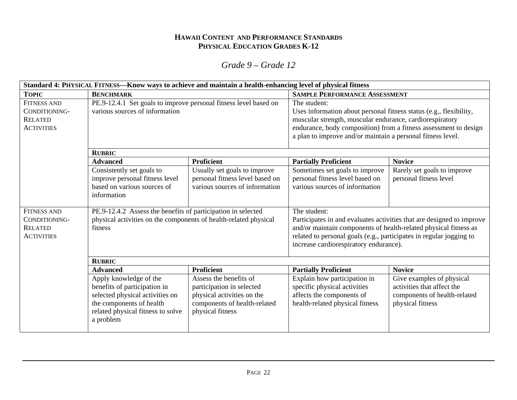| Standard 4: PHYSICAL FITNESS—Know ways to achieve and maintain a health-enhancing level of physical fitness |                                                                                                           |                                                                                                   |                                                                                                                                                                                                                                                                                   |                                                                       |
|-------------------------------------------------------------------------------------------------------------|-----------------------------------------------------------------------------------------------------------|---------------------------------------------------------------------------------------------------|-----------------------------------------------------------------------------------------------------------------------------------------------------------------------------------------------------------------------------------------------------------------------------------|-----------------------------------------------------------------------|
| <b>TOPIC</b>                                                                                                | <b>BENCHMARK</b>                                                                                          |                                                                                                   | <b>SAMPLE PERFORMANCE ASSESSMENT</b>                                                                                                                                                                                                                                              |                                                                       |
| <b>FITNESS AND</b><br>CONDITIONING-<br><b>RELATED</b><br><b>ACTIVITIES</b>                                  | PE.9-12.4.1 Set goals to improve personal fitness level based on<br>various sources of information        |                                                                                                   | The student:<br>Uses information about personal fitness status (e.g., flexibility,<br>muscular strength, muscular endurance, cardiorespiratory<br>endurance, body composition) from a fitness assessment to design<br>a plan to improve and/or maintain a personal fitness level. |                                                                       |
|                                                                                                             | <b>RUBRIC</b>                                                                                             |                                                                                                   |                                                                                                                                                                                                                                                                                   |                                                                       |
|                                                                                                             | <b>Advanced</b>                                                                                           | Proficient                                                                                        | <b>Partially Proficient</b>                                                                                                                                                                                                                                                       | <b>Novice</b>                                                         |
|                                                                                                             | Consistently set goals to<br>improve personal fitness level<br>based on various sources of<br>information | Usually set goals to improve<br>personal fitness level based on<br>various sources of information | Sometimes set goals to improve<br>personal fitness level based on<br>various sources of information                                                                                                                                                                               | Rarely set goals to improve<br>personal fitness level                 |
| <b>FITNESS AND</b>                                                                                          | PE.9-12.4.2 Assess the benefits of participation in selected                                              |                                                                                                   | The student:                                                                                                                                                                                                                                                                      |                                                                       |
| CONDITIONING-                                                                                               | physical activities on the components of health-related physical                                          |                                                                                                   |                                                                                                                                                                                                                                                                                   | Participates in and evaluates activities that are designed to improve |
| <b>RELATED</b>                                                                                              | fitness                                                                                                   |                                                                                                   | and/or maintain components of health-related physical fitness as                                                                                                                                                                                                                  |                                                                       |
| <b>ACTIVITIES</b>                                                                                           |                                                                                                           |                                                                                                   | related to personal goals (e.g., participates in regular jogging to                                                                                                                                                                                                               |                                                                       |
|                                                                                                             |                                                                                                           |                                                                                                   | increase cardiorespiratory endurance).                                                                                                                                                                                                                                            |                                                                       |
|                                                                                                             | <b>RUBRIC</b>                                                                                             |                                                                                                   |                                                                                                                                                                                                                                                                                   |                                                                       |
|                                                                                                             | <b>Advanced</b>                                                                                           | <b>Proficient</b>                                                                                 | <b>Partially Proficient</b>                                                                                                                                                                                                                                                       | <b>Novice</b>                                                         |
|                                                                                                             | Apply knowledge of the                                                                                    | Assess the benefits of                                                                            | Explain how participation in                                                                                                                                                                                                                                                      | Give examples of physical                                             |
|                                                                                                             | benefits of participation in                                                                              | participation in selected                                                                         | specific physical activities                                                                                                                                                                                                                                                      | activities that affect the                                            |
|                                                                                                             | selected physical activities on                                                                           | physical activities on the                                                                        | affects the components of                                                                                                                                                                                                                                                         | components of health-related                                          |
|                                                                                                             | the components of health                                                                                  | components of health-related                                                                      | health-related physical fitness                                                                                                                                                                                                                                                   | physical fitness                                                      |
|                                                                                                             | related physical fitness to solve<br>a problem                                                            | physical fitness                                                                                  |                                                                                                                                                                                                                                                                                   |                                                                       |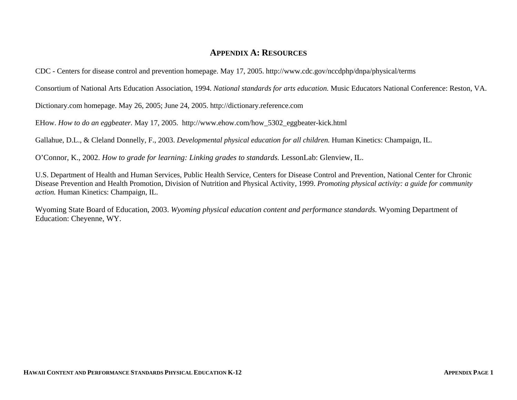### **APPENDIX A: RESOURCES**

CDC - Centers for disease control and prevention homepage. May 17, 2005. http://www.cdc.gov/nccdphp/dnpa/physical/terms

Consortium of National Arts Education Association, 1994. *National standards for arts education.* Music Educators National Conference: Reston, VA.

Dictionary.com homepage. May 26, 2005; June 24, 2005. http://dictionary.reference.com

EHow. *How to do an eggbeater.* May 17, 2005. http://www.ehow.com/how\_5302\_eggbeater-kick.html

Gallahue, D.L., & Cleland Donnelly, F., 2003. *Developmental physical education for all children.* Human Kinetics: Champaign, IL.

O'Connor, K., 2002. *How to grade for learning: Linking grades to standards.* LessonLab: Glenview, IL.

U.S. Department of Health and Human Services, Public Health Service, Centers for Disease Control and Prevention, National Center for Chronic Disease Prevention and Health Promotion, Division of Nutrition and Physical Activity, 1999. *Promoting physical activity: a guide for community action.* Human Kinetics: Champaign, IL.

Wyoming State Board of Education, 2003. *Wyoming physical education content and performance standards.* Wyoming Department of Education: Cheyenne, WY.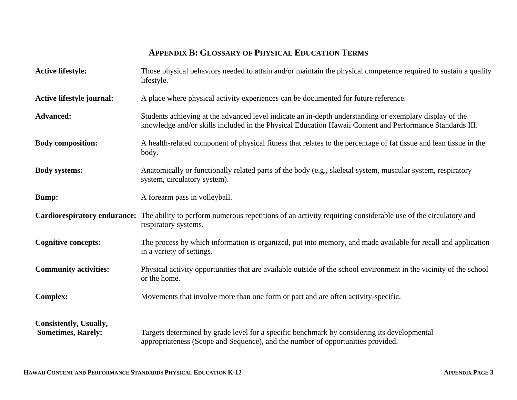# **APPENDIX B: GLOSSARY OF PHYSICAL EDUCATION TERMS**

| <b>Active lifestyle:</b>                            | Those physical behaviors needed to attain and/or maintain the physical competence required to sustain a quality<br>lifestyle.                                                                                       |
|-----------------------------------------------------|---------------------------------------------------------------------------------------------------------------------------------------------------------------------------------------------------------------------|
| <b>Active lifestyle journal:</b>                    | A place where physical activity experiences can be documented for future reference.                                                                                                                                 |
| <b>Advanced:</b>                                    | Students achieving at the advanced level indicate an in-depth understanding or exemplary display of the<br>knowledge and/or skills included in the Physical Education Hawaii Content and Performance Standards III. |
| <b>Body composition:</b>                            | A health-related component of physical fitness that relates to the percentage of fat tissue and lean tissue in the<br>body.                                                                                         |
| <b>Body systems:</b>                                | Anatomically or functionally related parts of the body (e.g., skeletal system, muscular system, respiratory<br>system, circulatory system).                                                                         |
| <b>Bump:</b>                                        | A forearm pass in volleyball.                                                                                                                                                                                       |
|                                                     | <b>Cardiorespiratory endurance:</b> The ability to perform numerous repetitions of an activity requiring considerable use of the circulatory and<br>respiratory systems.                                            |
| <b>Cognitive concepts:</b>                          | The process by which information is organized, put into memory, and made available for recall and application<br>in a variety of settings.                                                                          |
| <b>Community activities:</b>                        | Physical activity opportunities that are available outside of the school environment in the vicinity of the school<br>or the home.                                                                                  |
| <b>Complex:</b>                                     | Movements that involve more than one form or part and are often activity-specific.                                                                                                                                  |
| Consistently, Usually,<br><b>Sometimes, Rarely:</b> | Targets determined by grade level for a specific benchmark by considering its developmental<br>appropriateness (Scope and Sequence), and the number of opportunities provided.                                      |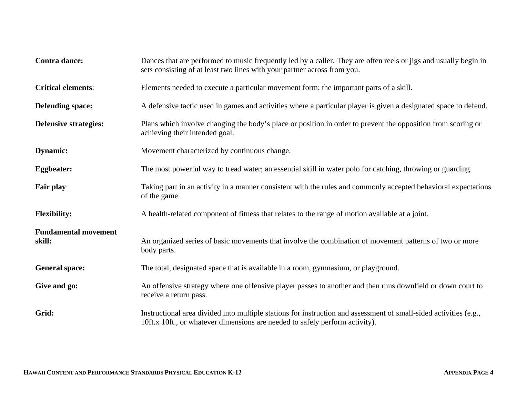| Contra dance:                         | Dances that are performed to music frequently led by a caller. They are often reels or jigs and usually begin in<br>sets consisting of at least two lines with your partner across from you.      |
|---------------------------------------|---------------------------------------------------------------------------------------------------------------------------------------------------------------------------------------------------|
| <b>Critical elements:</b>             | Elements needed to execute a particular movement form; the important parts of a skill.                                                                                                            |
| <b>Defending space:</b>               | A defensive tactic used in games and activities where a particular player is given a designated space to defend.                                                                                  |
| <b>Defensive strategies:</b>          | Plans which involve changing the body's place or position in order to prevent the opposition from scoring or<br>achieving their intended goal.                                                    |
| <b>Dynamic:</b>                       | Movement characterized by continuous change.                                                                                                                                                      |
| <b>Eggbeater:</b>                     | The most powerful way to tread water; an essential skill in water polo for catching, throwing or guarding.                                                                                        |
| Fair play:                            | Taking part in an activity in a manner consistent with the rules and commonly accepted behavioral expectations<br>of the game.                                                                    |
| <b>Flexibility:</b>                   | A health-related component of fitness that relates to the range of motion available at a joint.                                                                                                   |
| <b>Fundamental movement</b><br>skill: | An organized series of basic movements that involve the combination of movement patterns of two or more<br>body parts.                                                                            |
| <b>General space:</b>                 | The total, designated space that is available in a room, gymnasium, or playground.                                                                                                                |
| Give and go:                          | An offensive strategy where one offensive player passes to another and then runs downfield or down court to<br>receive a return pass.                                                             |
| Grid:                                 | Instructional area divided into multiple stations for instruction and assessment of small-sided activities (e.g.,<br>10ft.x 10ft., or whatever dimensions are needed to safely perform activity). |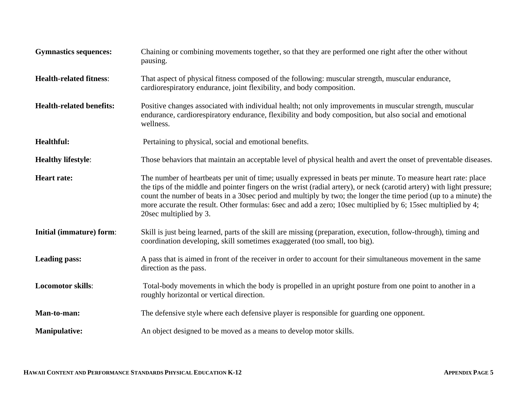| <b>Gymnastics sequences:</b>    | Chaining or combining movements together, so that they are performed one right after the other without<br>pausing.                                                                                                                                                                                                                                                                                                                                                                                     |
|---------------------------------|--------------------------------------------------------------------------------------------------------------------------------------------------------------------------------------------------------------------------------------------------------------------------------------------------------------------------------------------------------------------------------------------------------------------------------------------------------------------------------------------------------|
| <b>Health-related fitness:</b>  | That aspect of physical fitness composed of the following: muscular strength, muscular endurance,<br>cardiorespiratory endurance, joint flexibility, and body composition.                                                                                                                                                                                                                                                                                                                             |
| <b>Health-related benefits:</b> | Positive changes associated with individual health; not only improvements in muscular strength, muscular<br>endurance, cardiorespiratory endurance, flexibility and body composition, but also social and emotional<br>wellness.                                                                                                                                                                                                                                                                       |
| Healthful:                      | Pertaining to physical, social and emotional benefits.                                                                                                                                                                                                                                                                                                                                                                                                                                                 |
| <b>Healthy lifestyle:</b>       | Those behaviors that maintain an acceptable level of physical health and avert the onset of preventable diseases.                                                                                                                                                                                                                                                                                                                                                                                      |
| <b>Heart rate:</b>              | The number of heartbeats per unit of time; usually expressed in beats per minute. To measure heart rate: place<br>the tips of the middle and pointer fingers on the wrist (radial artery), or neck (carotid artery) with light pressure;<br>count the number of beats in a 30sec period and multiply by two; the longer the time period (up to a minute) the<br>more accurate the result. Other formulas: 6sec and add a zero; 10sec multiplied by 6; 15sec multiplied by 4;<br>20sec multiplied by 3. |
| Initial (immature) form:        | Skill is just being learned, parts of the skill are missing (preparation, execution, follow-through), timing and<br>coordination developing, skill sometimes exaggerated (too small, too big).                                                                                                                                                                                                                                                                                                         |
| <b>Leading pass:</b>            | A pass that is aimed in front of the receiver in order to account for their simultaneous movement in the same<br>direction as the pass.                                                                                                                                                                                                                                                                                                                                                                |
| <b>Locomotor skills:</b>        | Total-body movements in which the body is propelled in an upright posture from one point to another in a<br>roughly horizontal or vertical direction.                                                                                                                                                                                                                                                                                                                                                  |
| Man-to-man:                     | The defensive style where each defensive player is responsible for guarding one opponent.                                                                                                                                                                                                                                                                                                                                                                                                              |
| <b>Manipulative:</b>            | An object designed to be moved as a means to develop motor skills.                                                                                                                                                                                                                                                                                                                                                                                                                                     |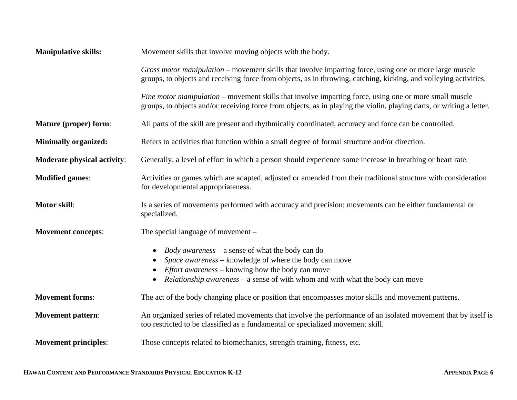| <b>Manipulative skills:</b>        | Movement skills that involve moving objects with the body.                                                                                                                                                                                                                                                  |
|------------------------------------|-------------------------------------------------------------------------------------------------------------------------------------------------------------------------------------------------------------------------------------------------------------------------------------------------------------|
|                                    | Gross motor manipulation – movement skills that involve imparting force, using one or more large muscle<br>groups, to objects and receiving force from objects, as in throwing, catching, kicking, and volleying activities.                                                                                |
|                                    | Fine motor manipulation – movement skills that involve imparting force, using one or more small muscle<br>groups, to objects and/or receiving force from objects, as in playing the violin, playing darts, or writing a letter.                                                                             |
| <b>Mature (proper) form:</b>       | All parts of the skill are present and rhythmically coordinated, accuracy and force can be controlled.                                                                                                                                                                                                      |
| <b>Minimally organized:</b>        | Refers to activities that function within a small degree of formal structure and/or direction.                                                                                                                                                                                                              |
| <b>Moderate physical activity:</b> | Generally, a level of effort in which a person should experience some increase in breathing or heart rate.                                                                                                                                                                                                  |
| <b>Modified games:</b>             | Activities or games which are adapted, adjusted or amended from their traditional structure with consideration<br>for developmental appropriateness.                                                                                                                                                        |
| <b>Motor skill:</b>                | Is a series of movements performed with accuracy and precision; movements can be either fundamental or<br>specialized.                                                                                                                                                                                      |
| <b>Movement concepts:</b>          | The special language of movement –                                                                                                                                                                                                                                                                          |
|                                    | <i>Body awareness</i> – a sense of what the body can do<br>$\bullet$<br>Space awareness - knowledge of where the body can move<br>$\bullet$<br><i>Effort awareness</i> – knowing how the body can move<br><i>Relationship awareness</i> – a sense of with whom and with what the body can move<br>$\bullet$ |
| <b>Movement forms:</b>             | The act of the body changing place or position that encompasses motor skills and movement patterns.                                                                                                                                                                                                         |
| <b>Movement pattern:</b>           | An organized series of related movements that involve the performance of an isolated movement that by itself is<br>too restricted to be classified as a fundamental or specialized movement skill.                                                                                                          |
| <b>Movement principles:</b>        | Those concepts related to biomechanics, strength training, fitness, etc.                                                                                                                                                                                                                                    |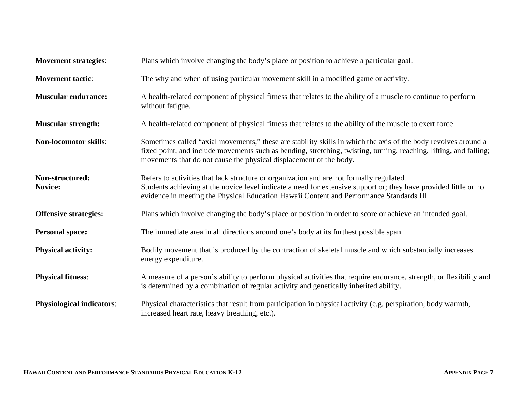| <b>Movement strategies:</b>       | Plans which involve changing the body's place or position to achieve a particular goal.                                                                                                                                                                                                                    |
|-----------------------------------|------------------------------------------------------------------------------------------------------------------------------------------------------------------------------------------------------------------------------------------------------------------------------------------------------------|
| <b>Movement tactic:</b>           | The why and when of using particular movement skill in a modified game or activity.                                                                                                                                                                                                                        |
| <b>Muscular endurance:</b>        | A health-related component of physical fitness that relates to the ability of a muscle to continue to perform<br>without fatigue.                                                                                                                                                                          |
| <b>Muscular strength:</b>         | A health-related component of physical fitness that relates to the ability of the muscle to exert force.                                                                                                                                                                                                   |
| <b>Non-locomotor skills:</b>      | Sometimes called "axial movements," these are stability skills in which the axis of the body revolves around a<br>fixed point, and include movements such as bending, stretching, twisting, turning, reaching, lifting, and falling;<br>movements that do not cause the physical displacement of the body. |
| Non-structured:<br><b>Novice:</b> | Refers to activities that lack structure or organization and are not formally regulated.<br>Students achieving at the novice level indicate a need for extensive support or; they have provided little or no<br>evidence in meeting the Physical Education Hawaii Content and Performance Standards III.   |
| <b>Offensive strategies:</b>      | Plans which involve changing the body's place or position in order to score or achieve an intended goal.                                                                                                                                                                                                   |
| <b>Personal space:</b>            | The immediate area in all directions around one's body at its furthest possible span.                                                                                                                                                                                                                      |
| <b>Physical activity:</b>         | Bodily movement that is produced by the contraction of skeletal muscle and which substantially increases<br>energy expenditure.                                                                                                                                                                            |
| <b>Physical fitness:</b>          | A measure of a person's ability to perform physical activities that require endurance, strength, or flexibility and<br>is determined by a combination of regular activity and genetically inherited ability.                                                                                               |
| <b>Physiological indicators:</b>  | Physical characteristics that result from participation in physical activity (e.g. perspiration, body warmth,<br>increased heart rate, heavy breathing, etc.).                                                                                                                                             |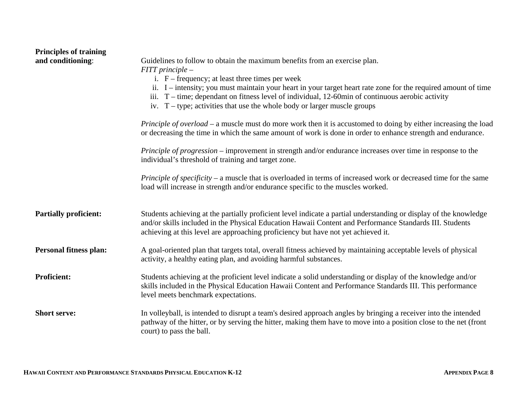| <b>Principles of training</b><br>and conditioning: | Guidelines to follow to obtain the maximum benefits from an exercise plan.<br>$FIT$ principle $-$<br>i. $F$ – frequency; at least three times per week<br>ii. I – intensity; you must maintain your heart in your target heart rate zone for the required amount of time<br>iii. $T$ – time; dependant on fitness level of individual, 12-60min of continuous aerobic activity<br>iv. $T - type$ ; activities that use the whole body or larger muscle groups<br>Principle of overload – a muscle must do more work then it is accustomed to doing by either increasing the load |
|----------------------------------------------------|----------------------------------------------------------------------------------------------------------------------------------------------------------------------------------------------------------------------------------------------------------------------------------------------------------------------------------------------------------------------------------------------------------------------------------------------------------------------------------------------------------------------------------------------------------------------------------|
|                                                    | or decreasing the time in which the same amount of work is done in order to enhance strength and endurance.<br><i>Principle of progression</i> – improvement in strength and/or endurance increases over time in response to the<br>individual's threshold of training and target zone.                                                                                                                                                                                                                                                                                          |
|                                                    | Principle of specificity – a muscle that is overloaded in terms of increased work or decreased time for the same<br>load will increase in strength and/or endurance specific to the muscles worked.                                                                                                                                                                                                                                                                                                                                                                              |
| <b>Partially proficient:</b>                       | Students achieving at the partially proficient level indicate a partial understanding or display of the knowledge<br>and/or skills included in the Physical Education Hawaii Content and Performance Standards III. Students<br>achieving at this level are approaching proficiency but have not yet achieved it.                                                                                                                                                                                                                                                                |
| <b>Personal fitness plan:</b>                      | A goal-oriented plan that targets total, overall fitness achieved by maintaining acceptable levels of physical<br>activity, a healthy eating plan, and avoiding harmful substances.                                                                                                                                                                                                                                                                                                                                                                                              |
| <b>Proficient:</b>                                 | Students achieving at the proficient level indicate a solid understanding or display of the knowledge and/or<br>skills included in the Physical Education Hawaii Content and Performance Standards III. This performance<br>level meets benchmark expectations.                                                                                                                                                                                                                                                                                                                  |
| <b>Short serve:</b>                                | In volleyball, is intended to disrupt a team's desired approach angles by bringing a receiver into the intended<br>pathway of the hitter, or by serving the hitter, making them have to move into a position close to the net (front<br>court) to pass the ball.                                                                                                                                                                                                                                                                                                                 |